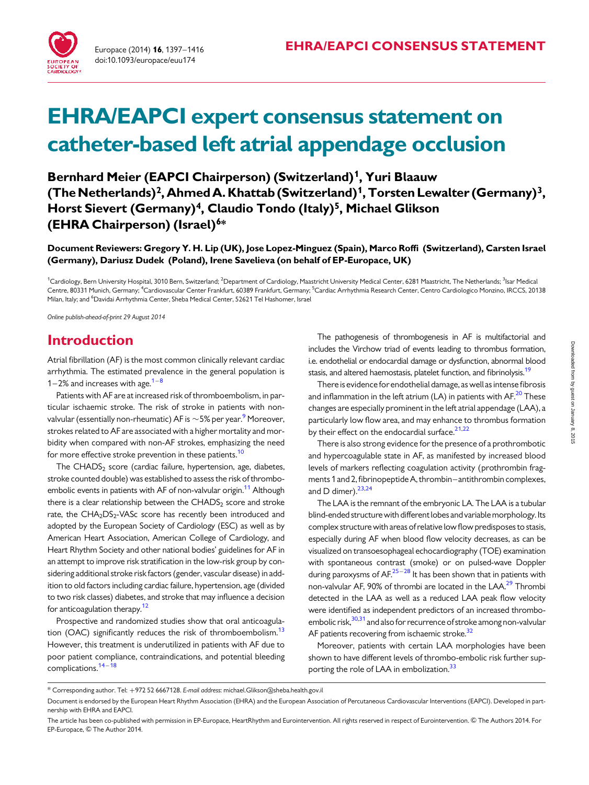

# EHRA/EAPCI expert consensus statement on catheter-based left atrial appendage occlusion

Bernhard Meier (EAPCI Chairperson) (Switzerland)<sup>1</sup>, Yuri Blaauw (The Netherlands)<sup>2</sup>, Ahmed A. Khattab (Switzerland)<sup>1</sup>, Torsten Lewalter (Germany)<sup>3</sup>, Horst Sievert (Germany)<sup>4</sup>, Claudio Tondo (Italy)<sup>5</sup>, Michael Glikson (EHRA Chairperson) (Israel)<sup>6\*</sup>

Document Reviewers: Gregory Y. H. Lip (UK), Jose Lopez-Minguez (Spain), Marco Roffi (Switzerland), Carsten Israel (Germany), Dariusz Dudek (Poland), Irene Savelieva (on behalf of EP-Europace, UK)

<sup>1</sup>Cardiology, Bern University Hospital, 3010 Bern, Switzerland; <sup>2</sup>Department of Cardiology, Maastricht University Medical Center, 6281 Maastricht, The Netherlands; <sup>3</sup>Isar Medical Centre, 80331 Munich, Germany; <sup>4</sup>Cardiovascular Center Frankfurt, 60389 Frankfurt, Germany; <sup>5</sup>Cardiac Arrhythmia Research Center, Centro Cardiologico Monzino, IRCCS, 20138 Milan, Italy; and <sup>6</sup>Davidai Arrhythmia Center, Sheba Medical Center, 52621 Tel Hashomer, Israel

Online publish-ahead-of-print 29 August 2014

## Introduction

Atrial fibrillation (AF) is the most common clinically relevant cardiac arrhythmia. The estimated prevalence in the general population is [1](#page-17-0)–2% and increases with age. $1 - 8$  $1 - 8$ 

Patients with AF are at increased risk of thromboembolism, in particular ischaemic stroke. The risk of stroke in patients with nonvalvular (essentially non-rheumatic) AF is  $\sim$  5% per year. $^9$  $^9$  Moreover, strokes related to AF are associated with a higher mortality and morbidity when compared with non-AF strokes, emphasizing the need for more effective stroke prevention in these patients.<sup>[10](#page-17-0)</sup>

The  $CHADS<sub>2</sub> score (cardiac failure, hypertension, age, diabetes,$ stroke counted double) was established to assess the risk of thrombo-embolic events in patients with AF of non-valvular origin.<sup>[11](#page-17-0)</sup> Although there is a clear relationship between the CHADS<sub>2</sub> score and stroke rate, the CHA<sub>2</sub>DS<sub>2</sub>-VASc score has recently been introduced and adopted by the European Society of Cardiology (ESC) as well as by American Heart Association, American College of Cardiology, and Heart Rhythm Society and other national bodies' guidelines for AF in an attempt to improve risk stratification in the low-risk group by considering additional stroke risk factors (gender, vascular disease) in addition to old factors including cardiac failure, hypertension, age (divided to two risk classes) diabetes, and stroke that may influence a decision for anticoagulation therapy.<sup>12</sup>

Prospective and randomized studies show that oral anticoagula-tion (OAC) significantly reduces the risk of thromboembolism.<sup>[13](#page-17-0)</sup> However, this treatment is underutilized in patients with AF due to poor patient compliance, contraindications, and potential bleeding complications.<sup>[14](#page-17-0)-[18](#page-17-0)</sup>

The pathogenesis of thrombogenesis in AF is multifactorial and includes the Virchow triad of events leading to thrombus formation, i.e. endothelial or endocardial damage or dysfunction, abnormal blood stasis, and altered haemostasis, platelet function, and fibrinolysis.<sup>[19](#page-17-0)</sup>

There is evidence for endothelial damage, as well as intense fibrosis and inflammation in the left atrium (LA) in patients with  $AF<sup>20</sup>$  $AF<sup>20</sup>$  $AF<sup>20</sup>$  These changes are especially prominent in the left atrial appendage (LAA), a particularly low flow area, and may enhance to thrombus formation by their effect on the endocardial surface. $2^{1,22}$ 

There is also strong evidence for the presence of a prothrombotic and hypercoagulable state in AF, as manifested by increased blood levels of markers reflecting coagulation activity (prothrombin fragments 1 and 2, fibrinopeptide A, thrombin–antithrombin complexes, and D dimer). $23,24$  $23,24$  $23,24$ 

The LAA is the remnant of the embryonic LA. The LAA is a tubular blind-ended structurewith different lobes and variablemorphology. Its complex structure with areas of relative low flow predisposes to stasis, especially during AF when blood flow velocity decreases, as can be visualized on transoesophageal echocardiography (TOE) examination with spontaneous contrast (smoke) or on pulsed-wave Doppler during paroxysms of  $AF^{25-28}$  $AF^{25-28}$  $AF^{25-28}$  $AF^{25-28}$  $AF^{25-28}$  It has been shown that in patients with non-valvular AF, 90% of thrombi are located in the LAA.<sup>29</sup> Thrombi detected in the LAA as well as a reduced LAA peak flow velocity were identified as independent predictors of an increased thromboembolic risk, $30,31$  and also for recurrence of stroke among non-valvular AF patients recovering from ischaemic stroke.<sup>[32](#page-17-0)</sup>

Moreover, patients with certain LAA morphologies have been shown to have different levels of thrombo-embolic risk further sup-porting the role of LAA in embolization.<sup>[33](#page-17-0)</sup>

<sup>\*</sup> Corresponding author. Tel: +972 52 6667128. E-mail address: michael.Glikson@sheba.health.gov.il

Document is endorsed by the European Heart Rhythm Association (EHRA) and the European Association of Percutaneous Cardiovascular Interventions (EAPCI). Developed in partnership with EHRA and EAPCI.

The article has been co-published with permission in EP-Europace, HeartRhythm and Eurointervention. All rights reserved in respect of Eurointervention. & The Authors 2014. For EP-Europace, © The Author 2014.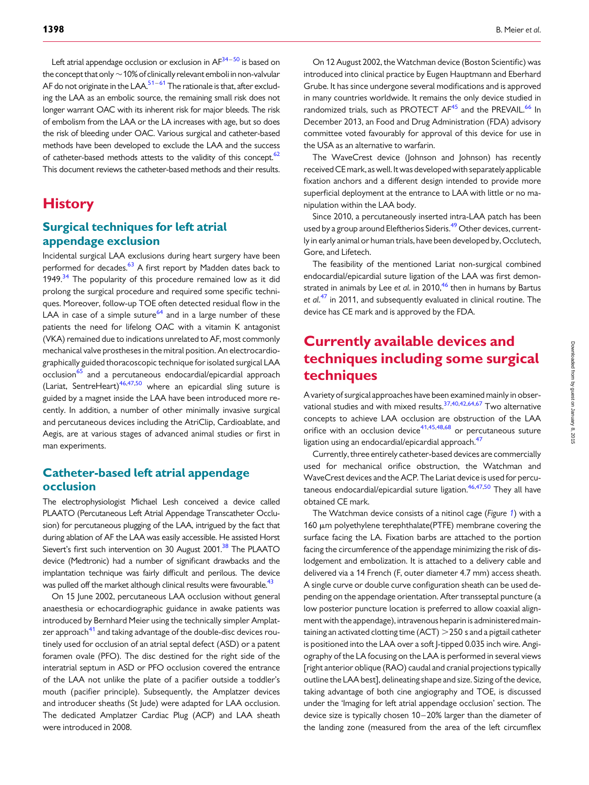Left atrial appendage occlusion or exclusion in  $AF^{34-50}$  $AF^{34-50}$  $AF^{34-50}$  is based on the concept that only  $\sim$  10% of clinically relevant emboli in non-valvular AF do not originate in the LAA. $51-61$  $51-61$  $51-61$  The rationale is that, after excluding the LAA as an embolic source, the remaining small risk does not longer warrant OAC with its inherent risk for major bleeds. The risk of embolism from the LAA or the LA increases with age, but so does the risk of bleeding under OAC. Various surgical and catheter-based methods have been developed to exclude the LAA and the success of catheter-based methods attests to the validity of this concept. $62$ This document reviews the catheter-based methods and their results.

# **History**

## Surgical techniques for left atrial appendage exclusion

Incidental surgical LAA exclusions during heart surgery have been performed for decades.<sup>63</sup> A first report by Madden dates back to 1949. $34$  The popularity of this procedure remained low as it did prolong the surgical procedure and required some specific techniques. Moreover, follow-up TOE often detected residual flow in the LAA in case of a simple suture $^{64}$  and in a large number of these patients the need for lifelong OAC with a vitamin K antagonist (VKA) remained due to indications unrelated to AF, most commonly mechanical valve prostheses in the mitral position. An electrocardiographically guided thoracoscopic technique for isolated surgical LAA occlusion<sup>[65](#page-18-0)</sup> and a percutaneous endocardial/epicardial approach (Lariat, SentreHeart)<sup>[46,47,50](#page-18-0)</sup> where an epicardial sling suture is guided by a magnet inside the LAA have been introduced more recently. In addition, a number of other minimally invasive surgical and percutaneous devices including the AtriClip, Cardioablate, and Aegis, are at various stages of advanced animal studies or first in man experiments.

## Catheter-based left atrial appendage occlusion

The electrophysiologist Michael Lesh conceived a device called PLAATO (Percutaneous Left Atrial Appendage Transcatheter Occlusion) for percutaneous plugging of the LAA, intrigued by the fact that during ablation of AF the LAA was easily accessible. He assisted Horst Sievert's first such intervention on 30 August 2001.<sup>[38](#page-17-0)</sup> The PLAATO device (Medtronic) had a number of significant drawbacks and the implantation technique was fairly difficult and perilous. The device was pulled off the market although clinical results were favourable.<sup>43</sup>

On 15 June 2002, percutaneous LAA occlusion without general anaesthesia or echocardiographic guidance in awake patients was introduced by Bernhard Meier using the technically simpler Amplat-zer approach<sup>[41](#page-17-0)</sup> and taking advantage of the double-disc devices routinely used for occlusion of an atrial septal defect (ASD) or a patent foramen ovale (PFO). The disc destined for the right side of the interatrial septum in ASD or PFO occlusion covered the entrance of the LAA not unlike the plate of a pacifier outside a toddler's mouth (pacifier principle). Subsequently, the Amplatzer devices and introducer sheaths (St Jude) were adapted for LAA occlusion. The dedicated Amplatzer Cardiac Plug (ACP) and LAA sheath were introduced in 2008.

On 12 August 2002, the Watchman device (Boston Scientific) was introduced into clinical practice by Eugen Hauptmann and Eberhard Grube. It has since undergone several modifications and is approved in many countries worldwide. It remains the only device studied in randomized trials, such as PROTECT AF<sup>[45](#page-17-0)</sup> and the PREVAIL.<sup>[66](#page-18-0)</sup> In December 2013, an Food and Drug Administration (FDA) advisory committee voted favourably for approval of this device for use in the USA as an alternative to warfarin.

The WaveCrest device (Johnson and Johnson) has recently receivedCEmark, as well. It was developed with separately applicable fixation anchors and a different design intended to provide more superficial deployment at the entrance to LAA with little or no manipulation within the LAA body.

Since 2010, a percutaneously inserted intra-LAA patch has been used by a group around Eleftherios Sideris.<sup>[49](#page-18-0)</sup> Other devices, currently in early animal or human trials, have been developed by, Occlutech, Gore, and Lifetech.

The feasibility of the mentioned Lariat non-surgical combined endocardial/epicardial suture ligation of the LAA was first demonstrated in animals by Lee et  $a$ l. in 2010,<sup>[46](#page-18-0)</sup> then in humans by Bartus et al.<sup>[47](#page-18-0)</sup> in 2011, and subsequently evaluated in clinical routine. The device has CE mark and is approved by the FDA.

# Currently available devices and techniques including some surgical techniques

A variety of surgical approaches have been examined mainly in observational studies and with mixed results.[37,40,42,](#page-17-0)[64,67](#page-18-0) Two alternative concepts to achieve LAA occlusion are obstruction of the LAA orifice with an occlusion device  $41,45,48,68$  $41,45,48,68$  $41,45,48,68$  $41,45,48,68$  $41,45,48,68$  or percutaneous suture ligation using an endocardial/epicardial approach.<sup>47</sup>

Currently, three entirely catheter-based devices are commercially used for mechanical orifice obstruction, the Watchman and WaveCrest devices and the ACP. The Lariat device is used for percu-taneous endocardial/epicardial suture ligation.<sup>46,47,[50](#page-18-0)</sup> They all have obtained CE mark.

The Watchman device consists of a nitinol cage (Figure [1](#page-2-0)) with a 160 µm polyethylene terephthalate(PTFE) membrane covering the surface facing the LA. Fixation barbs are attached to the portion facing the circumference of the appendage minimizing the risk of dislodgement and embolization. It is attached to a delivery cable and delivered via a 14 French (F, outer diameter 4.7 mm) access sheath. A single curve or double curve configuration sheath can be used depending on the appendage orientation. After transseptal puncture (a low posterior puncture location is preferred to allow coaxial alignment with the appendage), intravenous heparin is administered maintaining an activated clotting time (ACT)  $>$  250 s and a pigtail catheter is positioned into the LAA over a soft J-tipped 0.035 inch wire. Angiography of the LA focusing on the LAA is performed in several views [right anterior oblique (RAO) caudal and cranial projections typically outline the LAA best], delineating shape and size. Sizing of the device, taking advantage of both cine angiography and TOE, is discussed under the 'Imaging for left atrial appendage occlusion' section. The device size is typically chosen 10-20% larger than the diameter of the landing zone (measured from the area of the left circumflex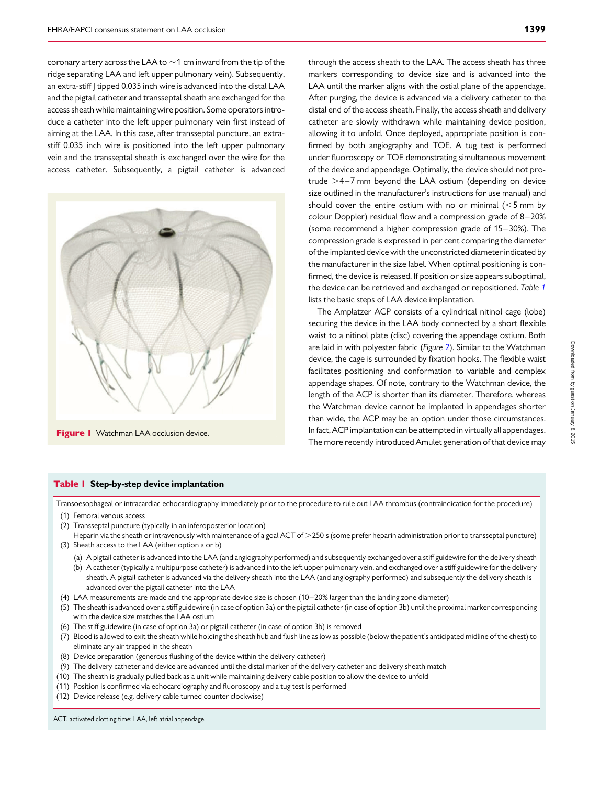<span id="page-2-0"></span>coronary artery across the LAA to  ${\sim}$  1 cm inward from the tip of the ridge separating LAA and left upper pulmonary vein). Subsequently, an extra-stiff | tipped 0.035 inch wire is advanced into the distal LAA and the pigtail catheter and transseptal sheath are exchanged for the access sheath while maintaining wire position. Some operators introduce a catheter into the left upper pulmonary vein first instead of aiming at the LAA. In this case, after transseptal puncture, an extrastiff 0.035 inch wire is positioned into the left upper pulmonary vein and the transseptal sheath is exchanged over the wire for the access catheter. Subsequently, a pigtail catheter is advanced



Figure I Watchman LAA occlusion device.

through the access sheath to the LAA. The access sheath has three markers corresponding to device size and is advanced into the LAA until the marker aligns with the ostial plane of the appendage. After purging, the device is advanced via a delivery catheter to the distal end of the access sheath. Finally, the access sheath and delivery catheter are slowly withdrawn while maintaining device position, allowing it to unfold. Once deployed, appropriate position is confirmed by both angiography and TOE. A tug test is performed under fluoroscopy or TOE demonstrating simultaneous movement of the device and appendage. Optimally, the device should not protrude  $>4-7$  mm beyond the LAA ostium (depending on device size outlined in the manufacturer's instructions for use manual) and should cover the entire ostium with no or minimal  $(<5$  mm by colour Doppler) residual flow and a compression grade of 8–20% (some recommend a higher compression grade of 15– 30%). The compression grade is expressed in per cent comparing the diameter of the implanted device with the unconstricted diameter indicated by the manufacturer in the size label. When optimal positioning is confirmed, the device is released. If position or size appears suboptimal, the device can be retrieved and exchanged or repositioned. Table 1 lists the basic steps of LAA device implantation.

The Amplatzer ACP consists of a cylindrical nitinol cage (lobe) securing the device in the LAA body connected by a short flexible waist to a nitinol plate (disc) covering the appendage ostium. Both are laid in with polyester fabric (Figure [2](#page-3-0)). Similar to the Watchman device, the cage is surrounded by fixation hooks. The flexible waist facilitates positioning and conformation to variable and complex appendage shapes. Of note, contrary to the Watchman device, the length of the ACP is shorter than its diameter. Therefore, whereas the Watchman device cannot be implanted in appendages shorter than wide, the ACP may be an option under those circumstances. In fact, ACP implantation can be attempted in virtually all appendages. The more recently introduced Amulet generation of that device may

# Downloaded from by guest on January 8, 2015 by guest on January 8, 2015 Downloaded from

#### Table | Step-by-step device implantation

Transoesophageal or intracardiac echocardiography immediately prior to the procedure to rule out LAA thrombus (contraindication for the procedure)

- (1) Femoral venous access
- (2) Transseptal puncture (typically in an inferoposterior location)
- Heparin via the sheath or intravenously with maintenance of a goal ACT of >250 s (some prefer heparin administration prior to transseptal puncture) (3) Sheath access to the LAA (either option a or b)
	- (a) A pigtail catheter is advanced into the LAA (and angiography performed) and subsequently exchanged over a stiff guidewire for the delivery sheath
	- (b) A catheter (typically a multipurpose catheter) is advanced into the left upper pulmonary vein, and exchanged over a stiff guidewire for the delivery sheath. A pigtail catheter is advanced via the delivery sheath into the LAA (and angiography performed) and subsequently the delivery sheath is advanced over the pigtail catheter into the LAA
- (4) LAA measurements are made and the appropriate device size is chosen (10– 20% larger than the landing zone diameter)
- (5) The sheath is advanced over a stiff guidewire (in case of option 3a) or the pigtail catheter (in case of option 3b) until the proximal marker corresponding with the device size matches the LAA ostium
- (6) The stiff guidewire (in case of option 3a) or pigtail catheter (in case of option 3b) is removed
- (7) Blood is allowed to exit the sheath while holding the sheath hub and flush line as low as possible (below the patient's anticipated midline of the chest) to eliminate any air trapped in the sheath
- (8) Device preparation (generous flushing of the device within the delivery catheter)
- (9) The delivery catheter and device are advanced until the distal marker of the delivery catheter and delivery sheath match
- (10) The sheath is gradually pulled back as a unit while maintaining delivery cable position to allow the device to unfold
- (11) Position is confirmed via echocardiography and fluoroscopy and a tug test is performed
- (12) Device release (e.g. delivery cable turned counter clockwise)

ACT, activated clotting time; LAA, left atrial appendage.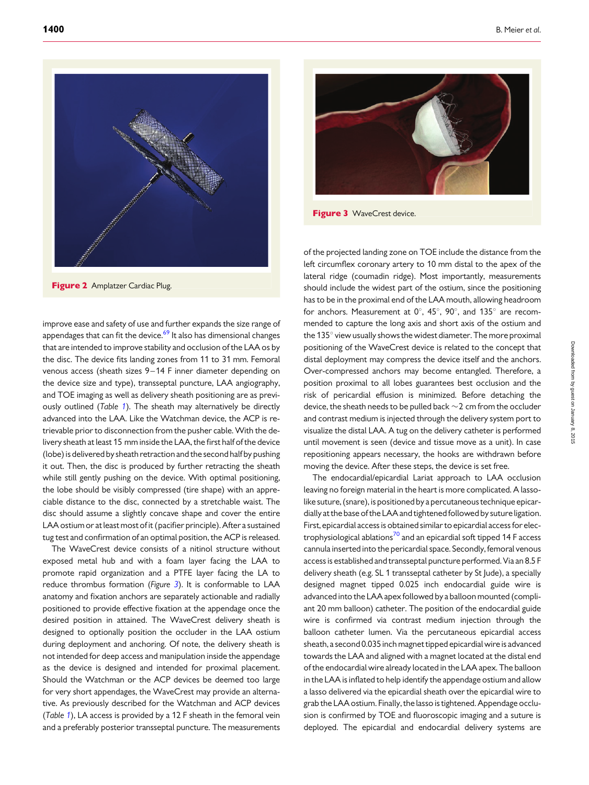<span id="page-3-0"></span>

**Figure 2** Amplatzer Cardiac Plug.

improve ease and safety of use and further expands the size range of appendages that can fit the device. $69$  It also has dimensional changes that are intended to improve stability and occlusion of the LAA os by the disc. The device fits landing zones from 11 to 31 mm. Femoral venous access (sheath sizes 9-14 F inner diameter depending on the device size and type), transseptal puncture, LAA angiography, and TOE imaging as well as delivery sheath positioning are as previ-ously outlined (Table [1](#page-2-0)). The sheath may alternatively be directly advanced into the LAA. Like the Watchman device, the ACP is retrievable prior to disconnection from the pusher cable. With the delivery sheath at least 15 mm inside the LAA, the first half of the device (lobe) is delivered by sheath retraction and the second half by pushing it out. Then, the disc is produced by further retracting the sheath while still gently pushing on the device. With optimal positioning, the lobe should be visibly compressed (tire shape) with an appreciable distance to the disc, connected by a stretchable waist. The disc should assume a slightly concave shape and cover the entire LAA ostium or at least most of it (pacifier principle). After a sustained tug test and confirmation of an optimal position, the ACP is released.

The WaveCrest device consists of a nitinol structure without exposed metal hub and with a foam layer facing the LAA to promote rapid organization and a PTFE layer facing the LA to reduce thrombus formation (Figure 3). It is conformable to LAA anatomy and fixation anchors are separately actionable and radially positioned to provide effective fixation at the appendage once the desired position in attained. The WaveCrest delivery sheath is designed to optionally position the occluder in the LAA ostium during deployment and anchoring. Of note, the delivery sheath is not intended for deep access and manipulation inside the appendage as the device is designed and intended for proximal placement. Should the Watchman or the ACP devices be deemed too large for very short appendages, the WaveCrest may provide an alternative. As previously described for the Watchman and ACP devices (Table [1](#page-2-0)), LA access is provided by a 12 F sheath in the femoral vein and a preferably posterior transseptal puncture. The measurements



Figure 3 WaveCrest device.

of the projected landing zone on TOE include the distance from the left circumflex coronary artery to 10 mm distal to the apex of the lateral ridge (coumadin ridge). Most importantly, measurements should include the widest part of the ostium, since the positioning has to be in the proximal end of the LAA mouth, allowing headroom for anchors. Measurement at  $0^\circ$ ,  $45^\circ$ ,  $90^\circ$ , and  $135^\circ$  are recommended to capture the long axis and short axis of the ostium and the  $135^\circ$  view usually shows the widest diameter. The more proximal positioning of the WaveCrest device is related to the concept that distal deployment may compress the device itself and the anchors. Over-compressed anchors may become entangled. Therefore, a position proximal to all lobes guarantees best occlusion and the risk of pericardial effusion is minimized. Before detaching the device, the sheath needs to be pulled back  $\sim$  2 cm from the occluder and contrast medium is injected through the delivery system port to visualize the distal LAA. A tug on the delivery catheter is performed until movement is seen (device and tissue move as a unit). In case repositioning appears necessary, the hooks are withdrawn before moving the device. After these steps, the device is set free.

The endocardial/epicardial Lariat approach to LAA occlusion leaving no foreign material in the heart is more complicated. A lassolike suture, (snare), is positioned by a percutaneous technique epicardially at the base of the LAA and tightened followed by suture ligation. First, epicardial access is obtained similar to epicardial access for elec-trophysiological ablations<sup>[70](#page-18-0)</sup> and an epicardial soft tipped 14 F access cannula inserted into the pericardial space. Secondly, femoral venous access is established and transseptal puncture performed. Via an 8.5 F delivery sheath (e.g. SL 1 transseptal catheter by St Jude), a specially designed magnet tipped 0.025 inch endocardial guide wire is advanced into the LAA apex followed by a balloon mounted (compliant 20 mm balloon) catheter. The position of the endocardial guide wire is confirmed via contrast medium injection through the balloon catheter lumen. Via the percutaneous epicardial access sheath, a second 0.035 inch magnet tipped epicardial wire is advanced towards the LAA and aligned with a magnet located at the distal end of the endocardial wire already located in the LAA apex. The balloon in the LAA is inflated to help identify the appendage ostium and allow a lasso delivered via the epicardial sheath over the epicardial wire to grab the LAA ostium. Finally, the lasso is tightened. Appendage occlusion is confirmed by TOE and fluoroscopic imaging and a suture is deployed. The epicardial and endocardial delivery systems are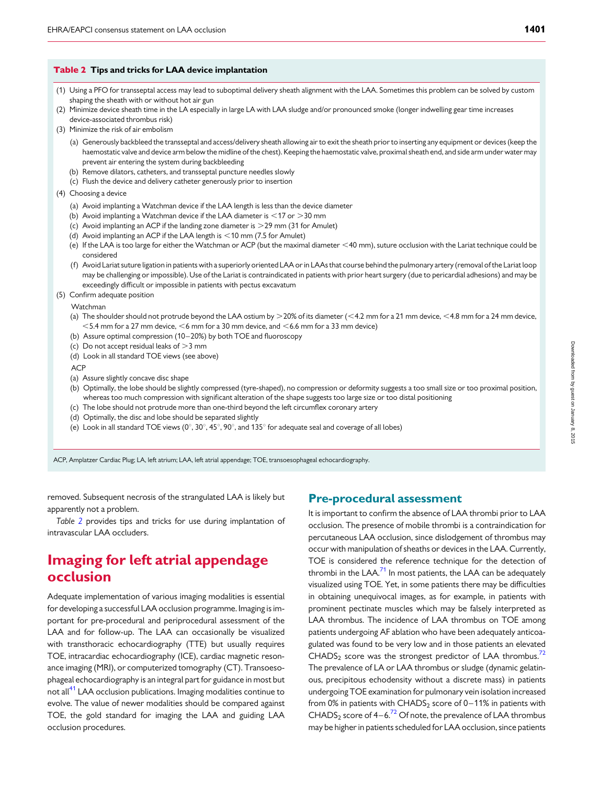#### <span id="page-4-0"></span>Table 2 Tips and tricks for LAA device implantation

- (1) Using a PFO for transseptal access may lead to suboptimal delivery sheath alignment with the LAA. Sometimes this problem can be solved by custom shaping the sheath with or without hot air gun
- (2) Minimize device sheath time in the LA especially in large LA with LAA sludge and/or pronounced smoke (longer indwelling gear time increases device-associated thrombus risk)
- (3) Minimize the risk of air embolism
	- (a) Generously backbleed the transseptal and access/delivery sheath allowing air to exit the sheath prior to inserting any equipment or devices (keep the haemostatic valve and device arm below the midline of the chest). Keeping the haemostatic valve, proximal sheath end, and side arm under water may prevent air entering the system during backbleeding
	- (b) Remove dilators, catheters, and transseptal puncture needles slowly
	- (c) Flush the device and delivery catheter generously prior to insertion
- (4) Choosing a device
	- (a) Avoid implanting a Watchman device if the LAA length is less than the device diameter
	- (b) Avoid implanting a Watchman device if the LAA diameter is  $<$  17 or  $>$  30 mm
	- (c) Avoid implanting an ACP if the landing zone diameter is  $>$  29 mm (31 for Amulet)
	- (d) Avoid implanting an ACP if the LAA length is  $<$  10 mm (7.5 for Amulet)
	- (e) If the LAA is too large for either the Watchman or ACP (but the maximal diameter <40 mm), suture occlusion with the Lariat technique could be considered
	- (f) Avoid Lariat suture ligation in patients with a superiorly oriented LAA or in LAAs that course behind the pulmonary artery (removal of the Lariat loop may be challenging or impossible). Use of the Lariat is contraindicated in patients with prior heart surgery (due to pericardial adhesions) and may be exceedingly difficult or impossible in patients with pectus excavatum
- (5) Confirm adequate position

Watchman

- (a) The shoulder should not protrude beyond the LAA ostium by  $>$  20% of its diameter (<4.2 mm for a 21 mm device, <4.8 mm for a 24 mm device,  $<$  5.4 mm for a 27 mm device,  $<$  6 mm for a 30 mm device, and  $<$  6.6 mm for a 33 mm device)
- (b) Assure optimal compression (10– 20%) by both TOE and fluoroscopy
- (c) Do not accept residual leaks of  $>$ 3 mm
- (d) Look in all standard TOE views (see above)

ACP

- (a) Assure slightly concave disc shape
- (b) Optimally, the lobe should be slightly compressed (tyre-shaped), no compression or deformity suggests a too small size or too proximal position, whereas too much compression with significant alteration of the shape suggests too large size or too distal positioning
- (c) The lobe should not protrude more than one-third beyond the left circumflex coronary artery
- (d) Optimally, the disc and lobe should be separated slightly
- (e) Look in all standard TOE views ( $0^\circ$ ,  $30^\circ$ ,  $45^\circ$ ,  $90^\circ$ , and 135 $^\circ$  for adequate seal and coverage of all lobes)

ACP, Amplatzer Cardiac Plug; LA, left atrium; LAA, left atrial appendage; TOE, transoesophageal echocardiography.

removed. Subsequent necrosis of the strangulated LAA is likely but apparently not a problem.

Table 2 provides tips and tricks for use during implantation of intravascular LAA occluders.

# Imaging for left atrial appendage occlusion

Adequate implementation of various imaging modalities is essential for developing a successful LAA occlusion programme. Imaging is important for pre-procedural and periprocedural assessment of the LAA and for follow-up. The LAA can occasionally be visualized with transthoracic echocardiography (TTE) but usually requires TOE, intracardiac echocardiography (ICE), cardiac magnetic resonance imaging (MRI), or computerized tomography (CT). Transoesophageal echocardiography is an integral part for guidance in most but not all<sup>[41](#page-17-0)</sup> LAA occlusion publications. Imaging modalities continue to evolve. The value of newer modalities should be compared against TOE, the gold standard for imaging the LAA and guiding LAA occlusion procedures.

## Pre-procedural assessment

It is important to confirm the absence of LAA thrombi prior to LAA occlusion. The presence of mobile thrombi is a contraindication for percutaneous LAA occlusion, since dislodgement of thrombus may occur with manipulation of sheaths or devices in the LAA. Currently, TOE is considered the reference technique for the detection of thrombi in the LAA. $^{71}$  $^{71}$  $^{71}$  In most patients, the LAA can be adequately visualized using TOE. Yet, in some patients there may be difficulties in obtaining unequivocal images, as for example, in patients with prominent pectinate muscles which may be falsely interpreted as LAA thrombus. The incidence of LAA thrombus on TOE among patients undergoing AF ablation who have been adequately anticoagulated was found to be very low and in those patients an elevated CHADS<sub>2</sub> score was the strongest predictor of LAA thrombus.<sup>72</sup> The prevalence of LA or LAA thrombus or sludge (dynamic gelatinous, precipitous echodensity without a discrete mass) in patients undergoing TOE examination for pulmonary vein isolation increased from 0% in patients with CHADS<sub>2</sub> score of 0–11% in patients with CHADS<sub>2</sub> score of  $4-6.<sup>72</sup>$  $4-6.<sup>72</sup>$  $4-6.<sup>72</sup>$  Of note, the prevalence of LAA thrombus may be higher in patients scheduled for LAA occlusion, since patients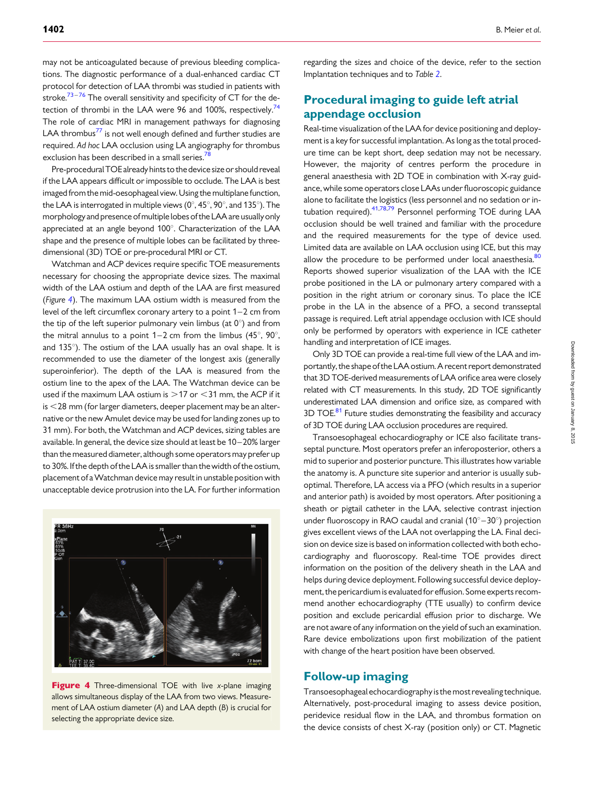may not be anticoagulated because of previous bleeding complications. The diagnostic performance of a dual-enhanced cardiac CT protocol for detection of LAA thrombi was studied in patients with stroke. $73-76$  $73-76$  $73-76$  The overall sensitivity and specificity of CT for the detection of thrombi in the LAA were 96 and 100%, respectively.<sup>74</sup> The role of cardiac MRI in management pathways for diagnosing LAA thrombus $^{77}$  $^{77}$  $^{77}$  is not well enough defined and further studies are required. Ad hoc LAA occlusion using LA angiography for thrombus exclusion has been described in a small series.<sup>[78](#page-18-0)</sup>

Pre-proceduralTOE already hints to the device size or should reveal if the LAA appears difficult or impossible to occlude. The LAA is best imaged from the mid-oesophageal view. Using the multiplane function, the LAA is interrogated in multiple views ( $0^\circ$ ,  $45^\circ$ ,  $90^\circ$ , and 135 $^\circ$ ). The morphology and presence ofmultiple lobes of the LAA are usually only appreciated at an angle beyond  $100^\circ$ . Characterization of the LAA shape and the presence of multiple lobes can be facilitated by threedimensional (3D) TOE or pre-procedural MRI or CT.

Watchman and ACP devices require specific TOE measurements necessary for choosing the appropriate device sizes. The maximal width of the LAA ostium and depth of the LAA are first measured (Figure 4). The maximum LAA ostium width is measured from the level of the left circumflex coronary artery to a point 1–2 cm from the tip of the left superior pulmonary vein limbus (at  $0^\circ$ ) and from the mitral annulus to a point  $1-2$  cm from the limbus (45 $^{\circ}$ , 90 $^{\circ}$ , and  $135^\circ$ ). The ostium of the LAA usually has an oval shape. It is recommended to use the diameter of the longest axis (generally superoinferior). The depth of the LAA is measured from the ostium line to the apex of the LAA. The Watchman device can be used if the maximum LAA ostium is  $>$  17 or  $<$  31 mm, the ACP if it  $is <$  28 mm (for larger diameters, deeper placement may be an alternative or the new Amulet device may be used for landing zones up to 31 mm). For both, the Watchman and ACP devices, sizing tables are available. In general, the device size should at least be 10 –20% larger than the measured diameter, although some operators may prefer up to 30%. If the depth of the LAA is smaller than the width of the ostium, placement of aWatchman device may result in unstable position with unacceptable device protrusion into the LA. For further information



Figure 4 Three-dimensional TOE with live x-plane imaging allows simultaneous display of the LAA from two views. Measurement of LAA ostium diameter (A) and LAA depth (B) is crucial for selecting the appropriate device size.

regarding the sizes and choice of the device, refer to the section Implantation techniques and to Table [2](#page-4-0).

## Procedural imaging to guide left atrial appendage occlusion

Real-time visualization of the LAA for device positioning and deployment is a key for successful implantation. As long as the total procedure time can be kept short, deep sedation may not be necessary. However, the majority of centres perform the procedure in general anaesthesia with 2D TOE in combination with X-ray guidance, while some operators close LAAs under fluoroscopic guidance alone to facilitate the logistics (less personnel and no sedation or in-tubation required).<sup>41,[78,79](#page-18-0)</sup> Personnel performing TOE during LAA occlusion should be well trained and familiar with the procedure and the required measurements for the type of device used. Limited data are available on LAA occlusion using ICE, but this may allow the procedure to be performed under local anaesthesia.<sup>[80](#page-18-0)</sup> Reports showed superior visualization of the LAA with the ICE probe positioned in the LA or pulmonary artery compared with a position in the right atrium or coronary sinus. To place the ICE probe in the LA in the absence of a PFO, a second transseptal passage is required. Left atrial appendage occlusion with ICE should only be performed by operators with experience in ICE catheter handling and interpretation of ICE images.

Only 3D TOE can provide a real-time full view of the LAA and importantly, the shape of the LAA ostium. A recent report demonstrated that 3D TOE-derived measurements of LAA orifice area were closely related with CT measurements. In this study, 2D TOE significantly underestimated LAA dimension and orifice size, as compared with 3D TOE.<sup>81</sup> Future studies demonstrating the feasibility and accuracy of 3D TOE during LAA occlusion procedures are required.

Transoesophageal echocardiography or ICE also facilitate transseptal puncture. Most operators prefer an inferoposterior, others a mid to superior and posterior puncture. This illustrates how variable the anatomy is. A puncture site superior and anterior is usually suboptimal. Therefore, LA access via a PFO (which results in a superior and anterior path) is avoided by most operators. After positioning a sheath or pigtail catheter in the LAA, selective contrast injection under fluoroscopy in RAO caudal and cranial  $(10^{\circ}-30^{\circ})$  projection gives excellent views of the LAA not overlapping the LA. Final decision on device size is based on information collected with both echocardiography and fluoroscopy. Real-time TOE provides direct information on the position of the delivery sheath in the LAA and helps during device deployment. Following successful device deployment, the pericardium is evaluated for effusion. Some experts recommend another echocardiography (TTE usually) to confirm device position and exclude pericardial effusion prior to discharge. We are not aware of any information on the yield of such an examination. Rare device embolizations upon first mobilization of the patient with change of the heart position have been observed.

## Follow-up imaging

Transoesophageal echocardiography is the most revealing technique. Alternatively, post-procedural imaging to assess device position, peridevice residual flow in the LAA, and thrombus formation on the device consists of chest X-ray (position only) or CT. Magnetic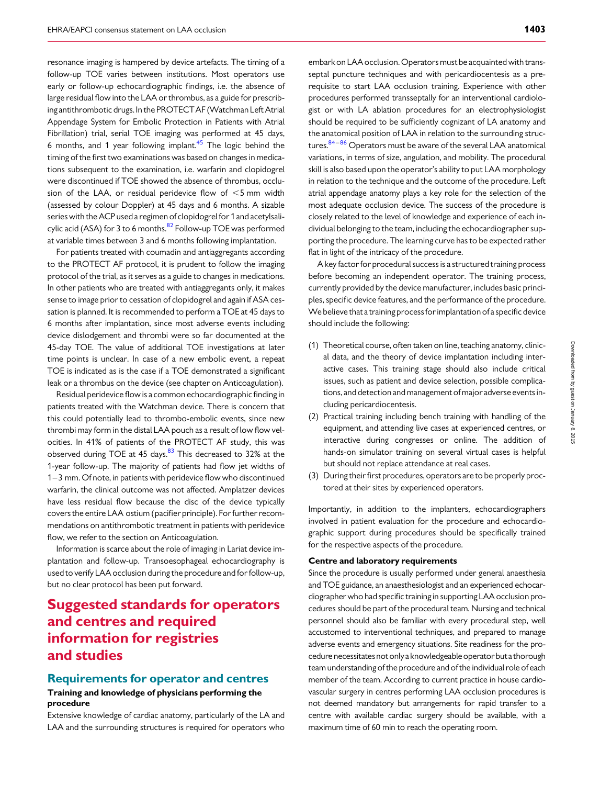resonance imaging is hampered by device artefacts. The timing of a follow-up TOE varies between institutions. Most operators use early or follow-up echocardiographic findings, i.e. the absence of large residual flow into the LAA or thrombus, as a guide for prescribing antithrombotic drugs. In the PROTECTAF (Watchman Left Atrial Appendage System for Embolic Protection in Patients with Atrial Fibrillation) trial, serial TOE imaging was performed at 45 days, 6 months, and 1 year following implant. $45$  The logic behind the timing of the first two examinations was based on changes in medications subsequent to the examination, i.e. warfarin and clopidogrel were discontinued if TOE showed the absence of thrombus, occlusion of the LAA, or residual peridevice flow of  $\leq$ 5 mm width (assessed by colour Doppler) at 45 days and 6 months. A sizable series with the ACP used a regimen of clopidogrel for 1 and acetylsalicylic acid (ASA) for 3 to 6 months. $^{82}$  $^{82}$  $^{82}$  Follow-up TOE was performed at variable times between 3 and 6 months following implantation.

For patients treated with coumadin and antiaggregants according to the PROTECT AF protocol, it is prudent to follow the imaging protocol of the trial, as it serves as a guide to changes in medications. In other patients who are treated with antiaggregants only, it makes sense to image prior to cessation of clopidogrel and again if ASA cessation is planned. It is recommended to perform a TOE at 45 days to 6 months after implantation, since most adverse events including device dislodgement and thrombi were so far documented at the 45-day TOE. The value of additional TOE investigations at later time points is unclear. In case of a new embolic event, a repeat TOE is indicated as is the case if a TOE demonstrated a significant leak or a thrombus on the device (see chapter on Anticoagulation).

Residual peridevice flow is a common echocardiographic finding in patients treated with the Watchman device. There is concern that this could potentially lead to thrombo-embolic events, since new thrombi may form in the distal LAA pouch as a result of low flow velocities. In 41% of patients of the PROTECT AF study, this was observed during TOE at 45 days.<sup>[83](#page-18-0)</sup> This decreased to 32% at the 1-year follow-up. The majority of patients had flow jet widths of 1–3 mm. Of note, in patients with peridevice flow who discontinued warfarin, the clinical outcome was not affected. Amplatzer devices have less residual flow because the disc of the device typically covers the entire LAA ostium (pacifier principle). For further recommendations on antithrombotic treatment in patients with peridevice flow, we refer to the section on Anticoagulation.

Information is scarce about the role of imaging in Lariat device implantation and follow-up. Transoesophageal echocardiography is used to verify LAA occlusion during the procedure and for follow-up, but no clear protocol has been put forward.

# Suggested standards for operators and centres and required information for registries and studies

# Requirements for operator and centres

#### Training and knowledge of physicians performing the procedure

Extensive knowledge of cardiac anatomy, particularly of the LA and LAA and the surrounding structures is required for operators who

embark on LAA occlusion. Operators must be acquainted with transseptal puncture techniques and with pericardiocentesis as a prerequisite to start LAA occlusion training. Experience with other procedures performed transseptally for an interventional cardiologist or with LA ablation procedures for an electrophysiologist should be required to be sufficiently cognizant of LA anatomy and the anatomical position of LAA in relation to the surrounding struc-tures.<sup>84-[86](#page-18-0)</sup> Operators must be aware of the several LAA anatomical variations, in terms of size, angulation, and mobility. The procedural skill is also based upon the operator's ability to put LAA morphology in relation to the technique and the outcome of the procedure. Left atrial appendage anatomy plays a key role for the selection of the most adequate occlusion device. The success of the procedure is closely related to the level of knowledge and experience of each individual belonging to the team, including the echocardiographer supporting the procedure. The learning curve has to be expected rather flat in light of the intricacy of the procedure.

A key factor for procedural success is a structured training process before becoming an independent operator. The training process, currently provided by the device manufacturer, includes basic principles, specific device features, and the performance of the procedure. We believe that a training process for implantation of a specific device should include the following:

- (1) Theoretical course, often taken on line, teaching anatomy, clinical data, and the theory of device implantation including interactive cases. This training stage should also include critical issues, such as patient and device selection, possible complications, and detection and management of major adverse events including pericardiocentesis.
- (2) Practical training including bench training with handling of the equipment, and attending live cases at experienced centres, or interactive during congresses or online. The addition of hands-on simulator training on several virtual cases is helpful but should not replace attendance at real cases.
- (3) During their first procedures, operators are to be properly proctored at their sites by experienced operators.

Importantly, in addition to the implanters, echocardiographers involved in patient evaluation for the procedure and echocardiographic support during procedures should be specifically trained for the respective aspects of the procedure.

#### Centre and laboratory requirements

Since the procedure is usually performed under general anaesthesia and TOE guidance, an anaesthesiologist and an experienced echocardiographer who had specific training in supporting LAA occlusion procedures should be part of the procedural team. Nursing and technical personnel should also be familiar with every procedural step, well accustomed to interventional techniques, and prepared to manage adverse events and emergency situations. Site readiness for the procedure necessitates not only a knowledgeable operator but a thorough team understanding of the procedure and of the individual role of each member of the team. According to current practice in house cardiovascular surgery in centres performing LAA occlusion procedures is not deemed mandatory but arrangements for rapid transfer to a centre with available cardiac surgery should be available, with a maximum time of 60 min to reach the operating room.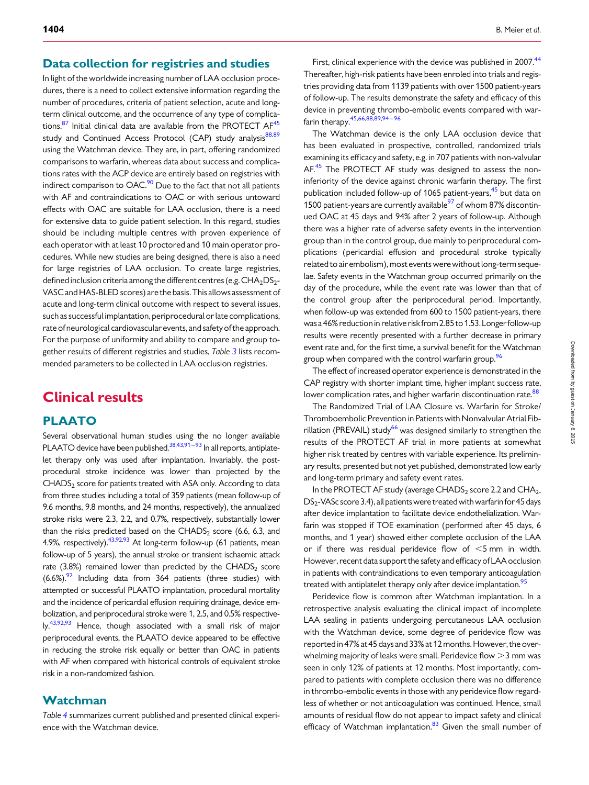## Data collection for registries and studies

In light of the worldwide increasing number of LAA occlusion procedures, there is a need to collect extensive information regarding the number of procedures, criteria of patient selection, acute and longterm clinical outcome, and the occurrence of any type of complications. $87$  Initial clinical data are available from the PROTECT AF<sup>45</sup> study and Continued Access Protocol (CAP) study analysis<sup>88,89</sup> using the Watchman device. They are, in part, offering randomized comparisons to warfarin, whereas data about success and complications rates with the ACP device are entirely based on registries with indirect comparison to  $OAC<sup>90</sup>$  $OAC<sup>90</sup>$  $OAC<sup>90</sup>$  Due to the fact that not all patients with AF and contraindications to OAC or with serious untoward effects with OAC are suitable for LAA occlusion, there is a need for extensive data to guide patient selection. In this regard, studies should be including multiple centres with proven experience of each operator with at least 10 proctored and 10 main operator procedures. While new studies are being designed, there is also a need for large registries of LAA occlusion. To create large registries, defined inclusion criteria among the different centres (e.g.  $CHA<sub>2</sub>DS<sub>2</sub>$ -VASC and HAS-BLED scores) are the basis. This allows assessment of acute and long-term clinical outcome with respect to several issues, such as successful implantation, periprocedural or late complications, rate of neurological cardiovascular events, and safety of the approach. For the purpose of uniformity and ability to compare and group together results of different registries and studies, Table [3](#page-8-0) lists recommended parameters to be collected in LAA occlusion registries.

# Clinical results

## PLAATO

Several observational human studies using the no longer available PLAATO device have been published.<sup>38,43[,91](#page-19-0)-[93](#page-19-0)</sup> In all reports, antiplatelet therapy only was used after implantation. Invariably, the postprocedural stroke incidence was lower than projected by the  $CHADS<sub>2</sub>$  score for patients treated with ASA only. According to data from three studies including a total of 359 patients (mean follow-up of 9.6 months, 9.8 months, and 24 months, respectively), the annualized stroke risks were 2.3, 2.2, and 0.7%, respectively, substantially lower than the risks predicted based on the CHADS<sub>2</sub> score  $(6.6, 6.3,$  and 4.9%, respectively).  $43,92,93$  $43,92,93$  $43,92,93$  $43,92,93$  At long-term follow-up (61 patients, mean follow-up of 5 years), the annual stroke or transient ischaemic attack rate (3.8%) remained lower than predicted by the CHADS<sub>2</sub> score  $(6.6\%)$ .<sup>92</sup> Including data from 364 patients (three studies) with attempted or successful PLAATO implantation, procedural mortality and the incidence of pericardial effusion requiring drainage, device embolization, and periprocedural stroke were 1, 2.5, and 0.5% respective- $\rm{Iy}$ .<sup>43,[92](#page-19-0),[93](#page-19-0)</sup> Hence, though associated with a small risk of major periprocedural events, the PLAATO device appeared to be effective in reducing the stroke risk equally or better than OAC in patients with AF when compared with historical controls of equivalent stroke risk in a non-randomized fashion.

## Watchman

Table [4](#page-9-0) summarizes current published and presented clinical experience with the Watchman device.

First, clinical experience with the device was published in 2007.<sup>[44](#page-17-0)</sup> Thereafter, high-risk patients have been enroled into trials and registries providing data from 1139 patients with over 1500 patient-years of follow-up. The results demonstrate the safety and efficacy of this device in preventing thrombo-embolic events compared with warfarin therapy[.45](#page-17-0)[,66,88](#page-18-0),[89](#page-18-0),[94](#page-19-0) – [96](#page-19-0)

The Watchman device is the only LAA occlusion device that has been evaluated in prospective, controlled, randomized trials examining its efficacy and safety, e.g. in 707 patients with non-valvular AF.<sup>[45](#page-17-0)</sup> The PROTECT AF study was designed to assess the noninferiority of the device against chronic warfarin therapy. The first publication included follow-up of 1065 patient-years,<sup>[45](#page-17-0)</sup> but data on 1500 patient-years are currently available $\frac{97}{97}$  $\frac{97}{97}$  $\frac{97}{97}$  of whom 87% discontinued OAC at 45 days and 94% after 2 years of follow-up. Although there was a higher rate of adverse safety events in the intervention group than in the control group, due mainly to periprocedural complications (pericardial effusion and procedural stroke typically related to air embolism), most events were without long-term sequelae. Safety events in the Watchman group occurred primarily on the day of the procedure, while the event rate was lower than that of the control group after the periprocedural period. Importantly, when follow-up was extended from 600 to 1500 patient-years, there was a 46% reduction in relative riskfrom 2.85 to 1.53.Longer follow-up results were recently presented with a further decrease in primary event rate and, for the first time, a survival benefit for the Watchman group when compared with the control warfarin group.<sup>96</sup>

The effect of increased operator experience is demonstrated in the CAP registry with shorter implant time, higher implant success rate, lower complication rates, and higher warfarin discontinuation rate.<sup>88</sup>

The Randomized Trial of LAA Closure vs. Warfarin for Stroke/ Thromboembolic Prevention in Patients with Nonvalvular Atrial Fib-rillation (PREVAIL) study<sup>[66](#page-18-0)</sup> was designed similarly to strengthen the results of the PROTECT AF trial in more patients at somewhat higher risk treated by centres with variable experience. Its preliminary results, presented but not yet published, demonstrated low early and long-term primary and safety event rates.

In the PROTECT AF study (average CHADS<sub>2</sub> score 2.2 and CHA<sub>2-</sub>  $DS<sub>2</sub>$ -VASc score 3.4), all patients were treated with warfarin for 45 days after device implantation to facilitate device endothelialization. Warfarin was stopped if TOE examination (performed after 45 days, 6 months, and 1 year) showed either complete occlusion of the LAA or if there was residual peridevice flow of  $\leq$ 5 mm in width. However, recent data support the safety and efficacy of LAA occlusion in patients with contraindications to even temporary anticoagulation treated with antiplatelet therapy only after device implantation.<sup>[95](#page-19-0)</sup>

Peridevice flow is common after Watchman implantation. In a retrospective analysis evaluating the clinical impact of incomplete LAA sealing in patients undergoing percutaneous LAA occlusion with the Watchman device, some degree of peridevice flow was reported in 47% at 45 days and 33% at 12 months. However, the overwhelming majority of leaks were small. Peridevice flow  $>$ 3 mm was seen in only 12% of patients at 12 months. Most importantly, compared to patients with complete occlusion there was no difference in thrombo-embolic events in those with any peridevice flow regardless of whether or not anticoagulation was continued. Hence, small amounts of residual flow do not appear to impact safety and clinical efficacy of Watchman implantation.<sup>[83](#page-18-0)</sup> Given the small number of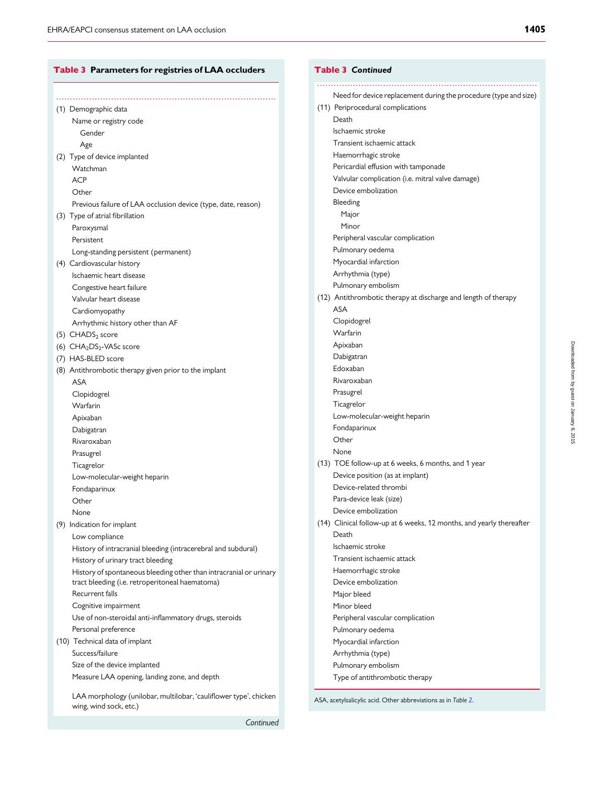<span id="page-8-0"></span>

| Table 3 Parameters for registries of LAA occluders                                          |  |
|---------------------------------------------------------------------------------------------|--|
|                                                                                             |  |
| (1) Demographic data                                                                        |  |
|                                                                                             |  |
| Name or registry code<br>Gender                                                             |  |
|                                                                                             |  |
| Age                                                                                         |  |
| (2) Type of device implanted                                                                |  |
| Watchman                                                                                    |  |
| <b>ACP</b>                                                                                  |  |
| Other                                                                                       |  |
| Previous failure of LAA occlusion device (type, date, reason)                               |  |
| (3) Type of atrial fibrillation                                                             |  |
| Paroxysmal                                                                                  |  |
| Persistent                                                                                  |  |
| Long-standing persistent (permanent)                                                        |  |
| (4) Cardiovascular history                                                                  |  |
| Ischaemic heart disease                                                                     |  |
| Congestive heart failure                                                                    |  |
| Valvular heart disease                                                                      |  |
| Cardiomyopathy                                                                              |  |
| Arrhythmic history other than AF                                                            |  |
| (5) CHADS <sub>2</sub> score                                                                |  |
| (6) CHA <sub>2</sub> DS <sub>2</sub> -VASc score                                            |  |
| (7) HAS-BLED score                                                                          |  |
| (8) Antithrombotic therapy given prior to the implant                                       |  |
| <b>ASA</b>                                                                                  |  |
| Clopidogrel                                                                                 |  |
| Warfarin                                                                                    |  |
| Apixaban                                                                                    |  |
| Dabigatran                                                                                  |  |
| Rivaroxaban                                                                                 |  |
| Prasugrel                                                                                   |  |
| Ticagrelor                                                                                  |  |
| Low-molecular-weight heparin                                                                |  |
| Fondaparinux                                                                                |  |
| Other                                                                                       |  |
| None                                                                                        |  |
| (9) Indication for implant                                                                  |  |
| Low compliance                                                                              |  |
| History of intracranial bleeding (intracerebral and subdural)                               |  |
| History of urinary tract bleeding                                                           |  |
| History of spontaneous bleeding other than intracranial or urinary                          |  |
| tract bleeding (i.e. retroperitoneal haematoma)                                             |  |
| Recurrent falls                                                                             |  |
| Cognitive impairment                                                                        |  |
| Use of non-steroidal anti-inflammatory drugs, steroids                                      |  |
| Personal preference                                                                         |  |
| (10) Technical data of implant                                                              |  |
| Success/failure                                                                             |  |
| Size of the device implanted                                                                |  |
| Measure LAA opening, landing zone, and depth                                                |  |
|                                                                                             |  |
| LAA morphology (unilobar, multilobar, 'cauliflower type', chicken<br>wing, wind sock, etc.) |  |

| <b>Table 3 Continued</b>                                             |
|----------------------------------------------------------------------|
| Need for device replacement during the procedure (type and size)     |
| (11) Periprocedural complications                                    |
| Death                                                                |
| Ischaemic stroke                                                     |
| Transient ischaemic attack                                           |
| Haemorrhagic stroke                                                  |
| Pericardial effusion with tamponade                                  |
| Valvular complication (i.e. mitral valve damage)                     |
| Device embolization                                                  |
| Bleeding                                                             |
| Major                                                                |
| Minor                                                                |
| Peripheral vascular complication                                     |
| Pulmonary oedema                                                     |
| Myocardial infarction                                                |
| Arrhythmia (type)                                                    |
| Pulmonary embolism                                                   |
| (12) Antithrombotic therapy at discharge and length of therapy       |
| <b>ASA</b>                                                           |
| Clopidogrel                                                          |
| Warfarin                                                             |
| Apixaban                                                             |
| Dabigatran                                                           |
| Edoxaban                                                             |
| Rivaroxaban                                                          |
| Prasugrel                                                            |
| Ticagrelor                                                           |
| Low-molecular-weight heparin                                         |
| Fondaparinux                                                         |
| Other                                                                |
| None                                                                 |
| (13) TOE follow-up at 6 weeks, 6 months, and 1 year                  |
| Device position (as at implant)                                      |
| Device-related thrombi                                               |
| Para-device leak (size)                                              |
| Device embolization                                                  |
| (14) Clinical follow-up at 6 weeks, 12 months, and yearly thereafter |
| Death                                                                |
| Ischaemic stroke                                                     |
| Transient ischaemic attack                                           |
| Haemorrhagic stroke                                                  |
| Device embolization                                                  |
| Major bleed                                                          |
| Minor bleed                                                          |
| Peripheral vascular complication                                     |
| Pulmonary oedema                                                     |
| Myocardial infarction                                                |
| Arrhythmia (type)                                                    |

ASA, acetylsalicylic acid. Other abbreviations as in Table [2](#page-4-0).

Type of antithrombotic therapy

Pulmonary embolism

**Continued**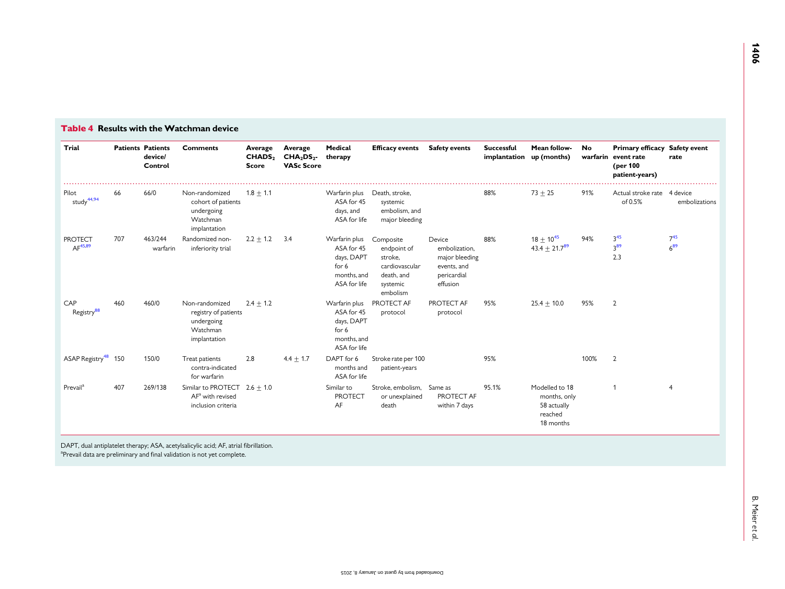| Trial                                 |     | <b>Patients Patients</b><br>device/<br>Control | <b>Comments</b>                                                                  | Average<br>CHADS <sub>2</sub><br>Score | Average<br>CHA <sub>2</sub> DS <sub>2</sub><br><b>VASc Score</b> | Medical<br>therapy                                                                | <b>Efficacy events</b>                                                                      | <b>Safety events</b>                                                                | <b>Successful</b><br>implantation | Mean follow-<br>up (months)                                           | <b>No</b> | Primary efficacy Safety event<br>warfarin event rate<br>(per 100<br>patient-years) | rate                 |
|---------------------------------------|-----|------------------------------------------------|----------------------------------------------------------------------------------|----------------------------------------|------------------------------------------------------------------|-----------------------------------------------------------------------------------|---------------------------------------------------------------------------------------------|-------------------------------------------------------------------------------------|-----------------------------------|-----------------------------------------------------------------------|-----------|------------------------------------------------------------------------------------|----------------------|
| Pilot<br>study <sup>44,94</sup>       | 66  | 66/0                                           | Non-randomized<br>cohort of patients<br>undergoing<br>Watchman<br>implantation   | $1.8 \pm 1.1$                          |                                                                  | Warfarin plus<br>ASA for 45<br>days, and<br>ASA for life                          | Death, stroke,<br>systemic<br>embolism, and<br>major bleeding                               |                                                                                     | 88%                               | $73 + 25$                                                             | 91%       | Actual stroke rate 4 device<br>of 0.5%                                             | embolizations        |
| <b>PROTECT</b><br>AF <sup>45,89</sup> | 707 | 463/244<br>warfarin                            | Randomized non-<br>inferiority trial                                             | $2.2 + 1.2$                            | 3.4                                                              | Warfarin plus<br>ASA for 45<br>days, DAPT<br>for 6<br>months, and<br>ASA for life | Composite<br>endpoint of<br>stroke,<br>cardiovascular<br>death, and<br>systemic<br>embolism | Device<br>embolization,<br>major bleeding<br>events, and<br>pericardial<br>effusion | 88%                               | $18 \pm 10^{45}$<br>$43.4 \pm 21.7^{89}$                              | 94%       | 3 <sup>45</sup><br>3 <sup>89</sup><br>2.3                                          | $7^{45}$<br>$6^{89}$ |
| CAP<br>Registry <sup>88</sup>         | 460 | 460/0                                          | Non-randomized<br>registry of patients<br>undergoing<br>Watchman<br>implantation | $2.4 \pm 1.2$                          |                                                                  | Warfarin plus<br>ASA for 45<br>days, DAPT<br>for 6<br>months, and<br>ASA for life | PROTECT AF<br>protocol                                                                      | PROTECT AF<br>protocol                                                              | 95%                               | $25.4 + 10.0$                                                         | 95%       | $\overline{2}$                                                                     |                      |
| ASAP Registry <sup>48</sup> 150       |     | 150/0                                          | Treat patients<br>contra-indicated<br>for warfarin                               | 2.8                                    | $4.4 \pm 1.7$                                                    | DAPT for 6<br>months and<br>ASA for life                                          | Stroke rate per 100<br>patient-years                                                        |                                                                                     | 95%                               |                                                                       | 100%      | $\overline{2}$                                                                     |                      |
| Prevail <sup>a</sup>                  | 407 | 269/138                                        | Similar to PROTECT $2.6 + 1.0$<br>$AFa$ with revised<br>inclusion criteria       |                                        |                                                                  | Similar to<br><b>PROTECT</b><br>AF                                                | Stroke, embolism, Same as<br>or unexplained<br>death                                        | PROTECT AF<br>within 7 days                                                         | 95.1%                             | Modelled to 18<br>months, only<br>58 actually<br>reached<br>18 months |           |                                                                                    | $\overline{4}$       |

DAPT, dual antiplatelet therapy; ASA, acetylsalicylic acid; AF, atrial fibrillation. <sup>a</sup>Prevail data are preliminary and final validation is not yet complete.

<span id="page-9-0"></span>Table 4 Results with the Watchman device

 $\mathbf{r}$ 

۳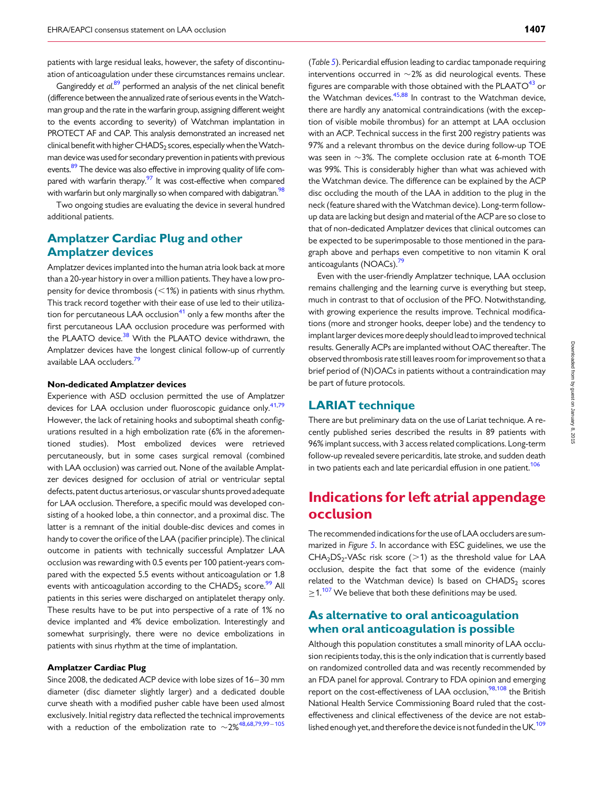patients with large residual leaks, however, the safety of discontinuation of anticoagulation under these circumstances remains unclear.

Gangireddy et al.<sup>[89](#page-18-0)</sup> performed an analysis of the net clinical benefit (difference between the annualized rate of serious events in theWatchman group and the rate in the warfarin group, assigning different weight to the events according to severity) of Watchman implantation in PROTECT AF and CAP. This analysis demonstrated an increased net clinical benefit with higher CHADS<sub>2</sub> scores, especially when the Watchman device was used for secondary prevention in patients with previous events.<sup>[89](#page-18-0)</sup> The device was also effective in improving quality of life compared with warfarin therapy. $\frac{97}{1}$  It was cost-effective when compared with warfarin but only marginally so when compared with dabigatran.<sup>98</sup>

Two ongoing studies are evaluating the device in several hundred additional patients.

## Amplatzer Cardiac Plug and other Amplatzer devices

Amplatzer devices implanted into the human atria look back at more than a 20-year history in over a million patients. They have a low propensity for device thrombosis  $(<1%)$  in patients with sinus rhythm. This track record together with their ease of use led to their utiliza-tion for percutaneous LAA occlusion<sup>[41](#page-17-0)</sup> only a few months after the first percutaneous LAA occlusion procedure was performed with the PLAATO device.<sup>38</sup> With the PLAATO device withdrawn, the Amplatzer devices have the longest clinical follow-up of currently available LAA occluders.<sup>[79](#page-18-0)</sup>

#### Non-dedicated Amplatzer devices

Experience with ASD occlusion permitted the use of Amplatzer devices for LAA occlusion under fluoroscopic guidance only.<sup>[41](#page-17-0)[,79](#page-18-0)</sup> However, the lack of retaining hooks and suboptimal sheath configurations resulted in a high embolization rate (6% in the aforementioned studies). Most embolized devices were retrieved percutaneously, but in some cases surgical removal (combined with LAA occlusion) was carried out. None of the available Amplatzer devices designed for occlusion of atrial or ventricular septal defects, patent ductus arteriosus, or vascular shunts proved adequate for LAA occlusion. Therefore, a specific mould was developed consisting of a hooked lobe, a thin connector, and a proximal disc. The latter is a remnant of the initial double-disc devices and comes in handy to cover the orifice of the LAA (pacifier principle). The clinical outcome in patients with technically successful Amplatzer LAA occlusion was rewarding with 0.5 events per 100 patient-years compared with the expected 5.5 events without anticoagulation or 1.8 events with anticoagulation according to the CHADS<sub>2</sub> score.<sup>[99](#page-19-0)</sup> All patients in this series were discharged on antiplatelet therapy only. These results have to be put into perspective of a rate of 1% no device implanted and 4% device embolization. Interestingly and somewhat surprisingly, there were no device embolizations in patients with sinus rhythm at the time of implantation.

#### Amplatzer Cardiac Plug

Since 2008, the dedicated ACP device with lobe sizes of 16–30 mm diameter (disc diameter slightly larger) and a dedicated double curve sheath with a modified pusher cable have been used almost exclusively. Initial registry data reflected the technical improvements with a reduction of the embolization rate to  $\sim$ 2%<sup>[48](#page-18-0),[68](#page-18-0),[79,](#page-18-0)[99](#page-19-0)–[105](#page-19-0)</sup>

(Table [5](#page-11-0)). Pericardial effusion leading to cardiac tamponade requiring interventions occurred in  $\sim$ 2% as did neurological events. These figures are comparable with those obtained with the PLAATO $43$  or the Watchman devices. $45,88$  $45,88$  In contrast to the Watchman device, there are hardly any anatomical contraindications (with the exception of visible mobile thrombus) for an attempt at LAA occlusion with an ACP. Technical success in the first 200 registry patients was 97% and a relevant thrombus on the device during follow-up TOE was seen in  $\sim$ 3%. The complete occlusion rate at 6-month TOE was 99%. This is considerably higher than what was achieved with the Watchman device. The difference can be explained by the ACP disc occluding the mouth of the LAA in addition to the plug in the neck (feature shared with the Watchman device). Long-term followup data are lacking but design and material of the ACP are so close to that of non-dedicated Amplatzer devices that clinical outcomes can be expected to be superimposable to those mentioned in the paragraph above and perhaps even competitive to non vitamin K oral anticoagulants (NOACs).<sup>79</sup>

Even with the user-friendly Amplatzer technique, LAA occlusion remains challenging and the learning curve is everything but steep, much in contrast to that of occlusion of the PFO. Notwithstanding, with growing experience the results improve. Technical modifications (more and stronger hooks, deeper lobe) and the tendency to implant larger devices more deeply should lead to improved technical results. Generally ACPs are implanted without OAC thereafter. The observed thrombosis rate still leaves room for improvement so that a brief period of (N)OACs in patients without a contraindication may be part of future protocols.

## LARIAT technique

There are but preliminary data on the use of Lariat technique. A recently published series described the results in 89 patients with 96% implant success, with 3 access related complications. Long-term follow-up revealed severe pericarditis, late stroke, and sudden death in two patients each and late pericardial effusion in one patient.<sup>106</sup>

# Indications for left atrial appendage occlusion

The recommended indications for the use of LAA occluders are summarized in Figure [5](#page-12-0). In accordance with ESC guidelines, we use the  $CHA<sub>2</sub>DS<sub>2</sub>-VASc$  risk score ( $>1$ ) as the threshold value for LAA occlusion, despite the fact that some of the evidence (mainly related to the Watchman device) Is based on CHADS<sub>2</sub> scores  $\geq$  1.<sup>[107](#page-19-0)</sup> We believe that both these definitions may be used.

## As alternative to oral anticoagulation when oral anticoagulation is possible

Although this population constitutes a small minority of LAA occlusion recipients today, this is the only indication that is currently based on randomized controlled data and was recently recommended by an FDA panel for approval. Contrary to FDA opinion and emerging report on the cost-effectiveness of LAA occlusion, $\frac{98,108}{8}$  the British National Health Service Commissioning Board ruled that the costeffectiveness and clinical effectiveness of the device are not estab-lished enough yet, and therefore the device is not funded in the UK.<sup>[109](#page-19-0)</sup>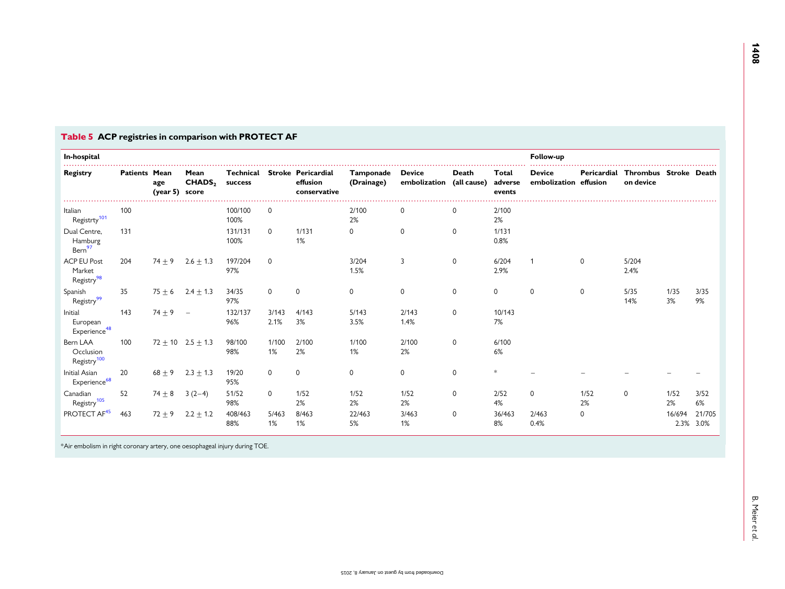| In-hospital                                            |                      |                       |                            |                      |               |                                                |                         |                               |                      |                            | Follow-up                              |             |                                    |                |                |  |
|--------------------------------------------------------|----------------------|-----------------------|----------------------------|----------------------|---------------|------------------------------------------------|-------------------------|-------------------------------|----------------------|----------------------------|----------------------------------------|-------------|------------------------------------|----------------|----------------|--|
| Registry                                               | <b>Patients Mean</b> | age<br>(year 5) score | Mean<br>CHADS <sub>2</sub> | Technical<br>success |               | Stroke Pericardial<br>effusion<br>conservative | Tamponade<br>(Drainage) | <b>Device</b><br>embolization | Death<br>(all cause) | Total<br>adverse<br>events | <b>Device</b><br>embolization effusion | Pericardial | Thrombus Stroke Death<br>on device |                |                |  |
| Italian<br>Registrty <sup>101</sup>                    | 100                  |                       |                            | 100/100<br>100%      | 0             |                                                | 2/100<br>2%             | 0                             | 0                    | 2/100<br>2%                |                                        |             |                                    |                |                |  |
| Dual Centre,<br>Hamburg<br>Bern <sup>97</sup>          | 131                  |                       |                            | 131/131<br>100%      | $\Omega$      | 1/131<br>1%                                    | $\mathbf 0$             | 0                             | 0                    | 1/131<br>0.8%              |                                        |             |                                    |                |                |  |
| <b>ACP EU Post</b><br>Market<br>Registry <sup>98</sup> | 204                  | $74 + 9$              | $2.6 \pm 1.3$              | 197/204<br>97%       | $\Omega$      |                                                | 3/204<br>1.5%           | 3                             | $\mathbf{0}$         | 6/204<br>2.9%              |                                        | $\mathbf 0$ | 5/204<br>2.4%                      |                |                |  |
| Spanish<br>Registry <sup>99</sup>                      | 35                   | $75 + 6$              | $2.4 \pm 1.3$              | 34/35<br>97%         | $\Omega$      | $\Omega$                                       | $\mathbf 0$             | 0                             | $\mathbf 0$          | $\mathbf 0$                | $\mathbf 0$                            | $\mathbf 0$ | 5/35<br>14%                        | 1/35<br>3%     | 3/35<br>9%     |  |
| Initial<br>European<br>Experience <sup>48</sup>        | 143                  | $74 \pm 9$            | $\overline{\phantom{a}}$   | 132/137<br>96%       | 3/143<br>2.1% | 4/143<br>3%                                    | 5/143<br>3.5%           | 2/143<br>1.4%                 | 0                    | 10/143<br>7%               |                                        |             |                                    |                |                |  |
| Bern LAA<br>Occlusion<br>Registry <sup>100</sup>       | 100                  |                       | $72 \pm 10$ 2.5 $\pm$ 1.3  | 98/100<br>98%        | 1/100<br>1%   | 2/100<br>2%                                    | 1/100<br>1%             | 2/100<br>2%                   | $\mathbf 0$          | 6/100<br>6%                |                                        |             |                                    |                |                |  |
| Initial Asian<br>Experience <sup>68</sup>              | 20                   | $68 \pm 9$            | $2.3 \pm 1.3$              | 19/20<br>95%         | 0             | 0                                              | 0                       | 0                             | 0                    | $*$                        |                                        |             |                                    |                |                |  |
| Canadian<br>Registry <sup>105</sup>                    | 52                   | $74 \pm 8$            | $3(2-4)$                   | 51/52<br>98%         | $\Omega$      | 1/52<br>2%                                     | 1/52<br>2%              | 1/52<br>2%                    | 0                    | 2/52<br>4%                 | $\mathbf 0$                            | 1/52<br>2%  | 0                                  | 1/52<br>2%     | 3/52<br>6%     |  |
| PROTECT AF <sup>45</sup>                               | 463                  | $72 + 9$              | $2.2 \pm 1.2$              | 408/463<br>88%       | 5/463<br>1%   | 8/463<br>1%                                    | 22/463<br>5%            | 3/463<br>1%                   | 0                    | 36/463<br>8%               | 2/463<br>0.4%                          | 0           |                                    | 16/694<br>2.3% | 21/705<br>3.0% |  |

#### <span id="page-11-0"></span>Table 5 ACP registries in comparison with PROTECT AF

\*Air embolism in right coronary artery, one oesophageal injury during TOE.

B. Meier

et al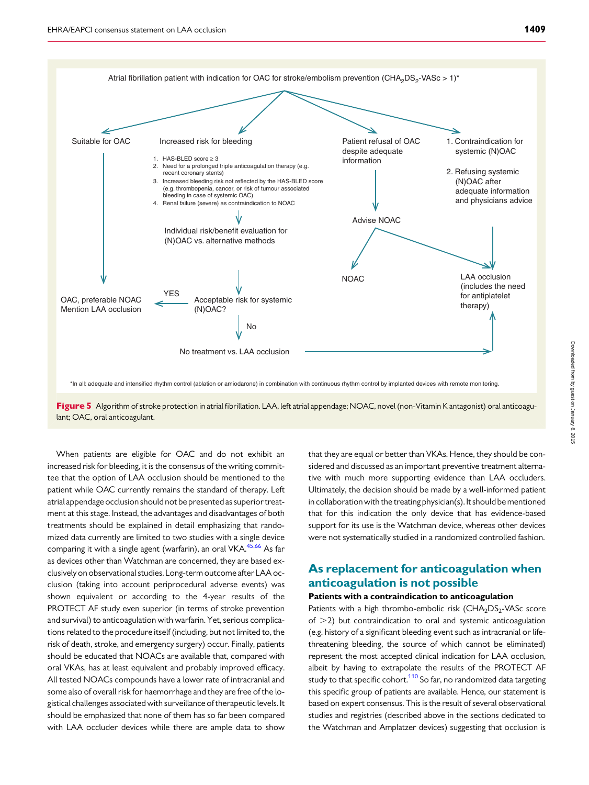<span id="page-12-0"></span>



When patients are eligible for OAC and do not exhibit an increased risk for bleeding, it is the consensus of the writing committee that the option of LAA occlusion should be mentioned to the patient while OAC currently remains the standard of therapy. Left atrial appendage occlusion should not be presented as superior treatment at this stage. Instead, the advantages and disadvantages of both treatments should be explained in detail emphasizing that randomized data currently are limited to two studies with a single device comparing it with a single agent (warfarin), an oral VKA.<sup>[45](#page-17-0),[66](#page-18-0)</sup> As far as devices other than Watchman are concerned, they are based exclusively on observational studies. Long-term outcome after LAA occlusion (taking into account periprocedural adverse events) was shown equivalent or according to the 4-year results of the PROTECT AF study even superior (in terms of stroke prevention and survival) to anticoagulation with warfarin. Yet, serious complications related to the procedure itself (including, but not limited to, the risk of death, stroke, and emergency surgery) occur. Finally, patients should be educated that NOACs are available that, compared with oral VKAs, has at least equivalent and probably improved efficacy. All tested NOACs compounds have a lower rate of intracranial and some also of overall risk for haemorrhage and they are free of the logistical challenges associated with surveillance of therapeutic levels. It should be emphasized that none of them has so far been compared with LAA occluder devices while there are ample data to show

that they are equal or better than VKAs. Hence, they should be considered and discussed as an important preventive treatment alternative with much more supporting evidence than LAA occluders. Ultimately, the decision should be made by a well-informed patient in collaboration with the treating physician(s). It should be mentioned that for this indication the only device that has evidence-based support for its use is the Watchman device, whereas other devices were not systematically studied in a randomized controlled fashion.

## As replacement for anticoagulation when anticoagulation is not possible

#### Patients with a contraindication to anticoagulation

Patients with a high thrombo-embolic risk  $(CHA<sub>2</sub>DS<sub>2</sub>-VASc$  score of  $>$ 2) but contraindication to oral and systemic anticoagulation (e.g. history of a significant bleeding event such as intracranial or lifethreatening bleeding, the source of which cannot be eliminated) represent the most accepted clinical indication for LAA occlusion, albeit by having to extrapolate the results of the PROTECT AF study to that specific cohort.<sup>[110](#page-19-0)</sup> So far, no randomized data targeting this specific group of patients are available. Hence, our statement is based on expert consensus. This is the result of several observational studies and registries (described above in the sections dedicated to the Watchman and Amplatzer devices) suggesting that occlusion is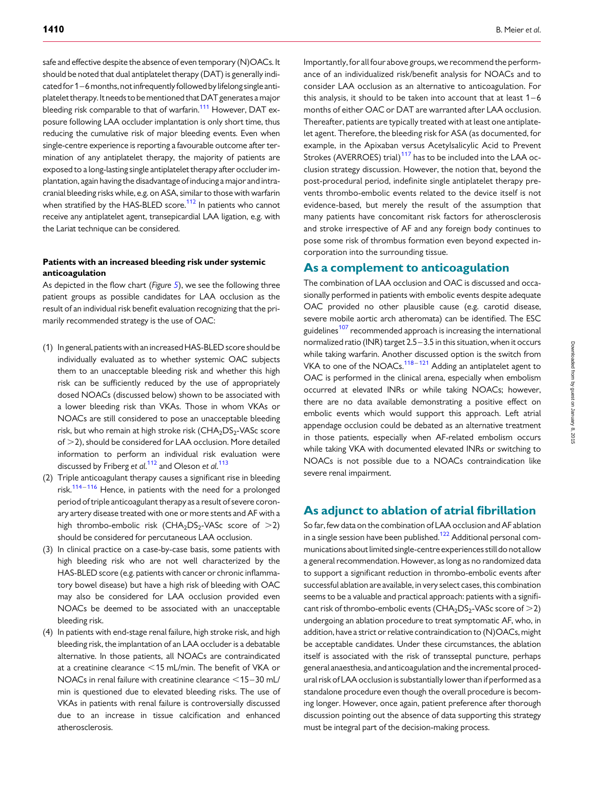safe and effective despite the absence of even temporary (N)OACs. It should be noted that dual antiplatelet therapy (DAT) is generally indicatedfor 1–6months, not infrequently followed by lifelong single antiplatelet therapy. It needs to be mentioned that DAT generates a major bleeding risk comparable to that of warfarin.<sup>[111](#page-19-0)</sup> However, DAT exposure following LAA occluder implantation is only short time, thus reducing the cumulative risk of major bleeding events. Even when single-centre experience is reporting a favourable outcome after termination of any antiplatelet therapy, the majority of patients are exposed to a long-lasting single antiplatelet therapy after occluder implantation, again having the disadvantage of inducing a major and intracranial bleeding risks while, e.g. on ASA, similar to those with warfarin when stratified by the HAS-BLED score.<sup>112</sup> In patients who cannot receive any antiplatelet agent, transepicardial LAA ligation, e.g. with the Lariat technique can be considered.

#### Patients with an increased bleeding risk under systemic anticoagulation

As depicted in the flow chart (Figure  $5$ ), we see the following three patient groups as possible candidates for LAA occlusion as the result of an individual risk benefit evaluation recognizing that the primarily recommended strategy is the use of OAC:

- (1) In general, patients with an increased HAS-BLED score should be individually evaluated as to whether systemic OAC subjects them to an unacceptable bleeding risk and whether this high risk can be sufficiently reduced by the use of appropriately dosed NOACs (discussed below) shown to be associated with a lower bleeding risk than VKAs. Those in whom VKAs or NOACs are still considered to pose an unacceptable bleeding risk, but who remain at high stroke risk (CHA<sub>2</sub>DS<sub>2</sub>-VASc score of  $>$  2), should be considered for LAA occlusion. More detailed information to perform an individual risk evaluation were discussed by Friberg et al.<sup>[112](#page-19-0)</sup> and Oleson et al.<sup>[113](#page-19-0)</sup>
- (2) Triple anticoagulant therapy causes a significant rise in bleeding risk. $114 - 116$  $114 - 116$  $114 - 116$  Hence, in patients with the need for a prolonged period of triple anticoagulant therapy as a result of severe coronary artery disease treated with one or more stents and AF with a high thrombo-embolic risk  $(CHA_2DS_2$ -VASc score of  $>2$ ) should be considered for percutaneous LAA occlusion.
- (3) In clinical practice on a case-by-case basis, some patients with high bleeding risk who are not well characterized by the HAS-BLED score (e.g. patients with cancer or chronic inflammatory bowel disease) but have a high risk of bleeding with OAC may also be considered for LAA occlusion provided even NOACs be deemed to be associated with an unacceptable bleeding risk.
- (4) In patients with end-stage renal failure, high stroke risk, and high bleeding risk, the implantation of an LAA occluder is a debatable alternative. In those patients, all NOACs are contraindicated at a creatinine clearance  $\leq$  15 mL/min. The benefit of VKA or NOACs in renal failure with creatinine clearance  $<$  15–30 mL/ min is questioned due to elevated bleeding risks. The use of VKAs in patients with renal failure is controversially discussed due to an increase in tissue calcification and enhanced atherosclerosis.

Importantly, for all four above groups, we recommend the performance of an individualized risk/benefit analysis for NOACs and to consider LAA occlusion as an alternative to anticoagulation. For this analysis, it should to be taken into account that at least  $1 - 6$ months of either OAC or DAT are warranted after LAA occlusion. Thereafter, patients are typically treated with at least one antiplatelet agent. Therefore, the bleeding risk for ASA (as documented, for example, in the Apixaban versus Acetylsalicylic Acid to Prevent Strokes (AVERROES) trial)<sup>[117](#page-19-0)</sup> has to be included into the LAA occlusion strategy discussion. However, the notion that, beyond the post-procedural period, indefinite single antiplatelet therapy prevents thrombo-embolic events related to the device itself is not evidence-based, but merely the result of the assumption that many patients have concomitant risk factors for atherosclerosis and stroke irrespective of AF and any foreign body continues to pose some risk of thrombus formation even beyond expected incorporation into the surrounding tissue.

#### As a complement to anticoagulation

The combination of LAA occlusion and OAC is discussed and occasionally performed in patients with embolic events despite adequate OAC provided no other plausible cause (e.g. carotid disease, severe mobile aortic arch atheromata) can be identified. The ESC guidelines<sup>[107](#page-19-0)</sup> recommended approach is increasing the international normalized ratio (INR) target 2.5 –3.5 in this situation, when it occurs while taking warfarin. Another discussed option is the switch from VKA to one of the NOACs.<sup>[118](#page-19-0)-[121](#page-19-0)</sup> Adding an antiplatelet agent to OAC is performed in the clinical arena, especially when embolism occurred at elevated INRs or while taking NOACs; however, there are no data available demonstrating a positive effect on embolic events which would support this approach. Left atrial appendage occlusion could be debated as an alternative treatment in those patients, especially when AF-related embolism occurs while taking VKA with documented elevated INRs or switching to NOACs is not possible due to a NOACs contraindication like severe renal impairment.

## As adjunct to ablation of atrial fibrillation

So far, few data on the combination of LAA occlusion and AF ablation in a single session have been published.<sup>[122](#page-19-0)</sup> Additional personal communications about limited single-centre experiences still do not allow a general recommendation. However, as long as no randomized data to support a significant reduction in thrombo-embolic events after successful ablation are available, in very select cases, this combination seems to be a valuable and practical approach: patients with a significant risk of thrombo-embolic events (CHA<sub>2</sub>DS<sub>2</sub>-VASc score of  $>$ 2) undergoing an ablation procedure to treat symptomatic AF, who, in addition, have a strict or relative contraindication to (N)OACs, might be acceptable candidates. Under these circumstances, the ablation itself is associated with the risk of transseptal puncture, perhaps general anaesthesia, and anticoagulation and the incremental procedural risk of LAA occlusion is substantially lower than if performed as a standalone procedure even though the overall procedure is becoming longer. However, once again, patient preference after thorough discussion pointing out the absence of data supporting this strategy must be integral part of the decision-making process.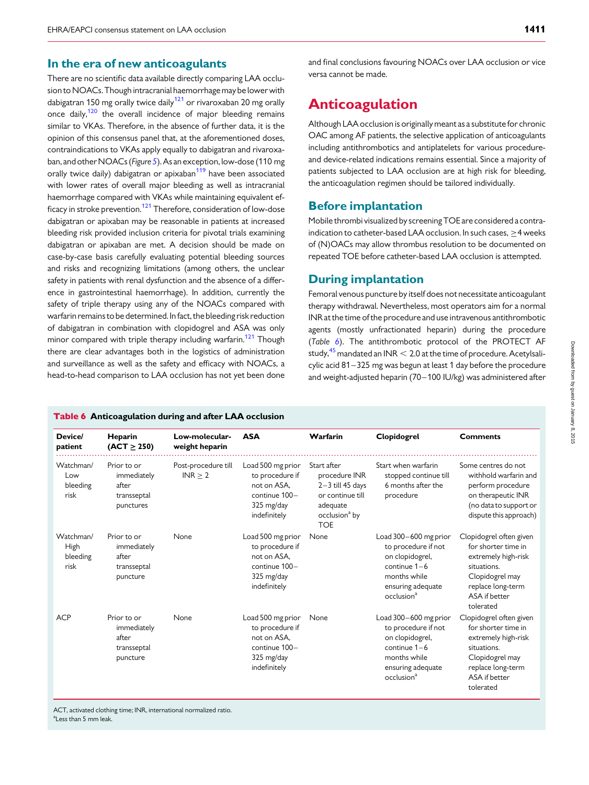#### <span id="page-14-0"></span>In the era of new anticoagulants

There are no scientific data available directly comparing LAA occlusion to NOACs. Though intracranial haemorrhage may be lower with dabigatran 150 mg orally twice daily<sup>[121](#page-19-0)</sup> or rivaroxaban 20 mg orally once daily, $120$  the overall incidence of major bleeding remains similar to VKAs. Therefore, in the absence of further data, it is the opinion of this consensus panel that, at the aforementioned doses, contraindications to VKAs apply equally to dabigatran and rivaroxa-ban, and other NOACs (Figure [5](#page-12-0)). As an exception, low-dose (110 mg orally twice daily) dabigatran or apixaban<sup>119</sup> have been associated with lower rates of overall major bleeding as well as intracranial haemorrhage compared with VKAs while maintaining equivalent ef-ficacy in stroke prevention.<sup>[121](#page-19-0)</sup> Therefore, consideration of low-dose dabigatran or apixaban may be reasonable in patients at increased bleeding risk provided inclusion criteria for pivotal trials examining dabigatran or apixaban are met. A decision should be made on case-by-case basis carefully evaluating potential bleeding sources and risks and recognizing limitations (among others, the unclear safety in patients with renal dysfunction and the absence of a difference in gastrointestinal haemorrhage). In addition, currently the safety of triple therapy using any of the NOACs compared with warfarin remains to be determined. In fact, the bleeding risk reduction of dabigatran in combination with clopidogrel and ASA was only minor compared with triple therapy including warfarin.<sup>121</sup> Though there are clear advantages both in the logistics of administration and surveillance as well as the safety and efficacy with NOACs, a head-to-head comparison to LAA occlusion has not yet been done

and final conclusions favouring NOACs over LAA occlusion or vice versa cannot be made.

# Anticoagulation

Although LAA occlusion is originally meant as a substitute for chronic OAC among AF patients, the selective application of anticoagulants including antithrombotics and antiplatelets for various procedureand device-related indications remains essential. Since a majority of patients subjected to LAA occlusion are at high risk for bleeding, the anticoagulation regimen should be tailored individually.

## Before implantation

Mobile thrombi visualized by screening TOE are considered a contraindication to catheter-based LAA occlusion. In such cases, ≥4 weeks of (N)OACs may allow thrombus resolution to be documented on repeated TOE before catheter-based LAA occlusion is attempted.

## During implantation

Femoral venous puncture by itself does not necessitate anticoagulant therapy withdrawal. Nevertheless, most operators aim for a normal INR at the time of the procedure and use intravenous antithrombotic agents (mostly unfractionated heparin) during the procedure (Table 6). The antithrombotic protocol of the PROTECT AF study,  $45$  mandated an INR  $< 2.0$  at the time of procedure. Acetylsalicylic acid 81–325 mg was begun at least 1 day before the procedure and weight-adjusted heparin (70-100 IU/kg) was administered after

#### Table 6 Anticoagulation during and after LAA occlusion

| Device/<br>patient                    | Heparin<br>$(ACT \geq 250)$                                     | Low-molecular-<br>weight heparin | <b>ASA</b>                                                                                         | Warfarin                                                                                                                        | Clopidogrel                                                                                                                                      | <b>Comments</b>                                                                                                                                            |
|---------------------------------------|-----------------------------------------------------------------|----------------------------------|----------------------------------------------------------------------------------------------------|---------------------------------------------------------------------------------------------------------------------------------|--------------------------------------------------------------------------------------------------------------------------------------------------|------------------------------------------------------------------------------------------------------------------------------------------------------------|
| Watchman/<br>Low<br>bleeding<br>risk  | Prior to or<br>immediately<br>after<br>transseptal<br>punctures | Post-procedure till<br>INR > 2   | Load 500 mg prior<br>to procedure if<br>not on ASA,<br>continue 100-<br>325 mg/day<br>indefinitely | Start after<br>procedure INR<br>$2 - 3$ till 45 days<br>or continue till<br>adequate<br>occlusion <sup>a</sup> by<br><b>TOE</b> | Start when warfarin<br>stopped continue till<br>6 months after the<br>procedure                                                                  | Some centres do not<br>withhold warfarin and<br>perform procedure<br>on therapeutic INR<br>(no data to support or<br>dispute this approach)                |
| Watchman/<br>High<br>bleeding<br>risk | Prior to or<br>immediately<br>after<br>transseptal<br>puncture  | None                             | Load 500 mg prior<br>to procedure if<br>not on ASA.<br>continue 100-<br>325 mg/day<br>indefinitely | None                                                                                                                            | Load 300-600 mg prior<br>to procedure if not<br>on clopidogrel,<br>continue $1-6$<br>months while<br>ensuring adequate<br>occlusion <sup>a</sup> | Clopidogrel often given<br>for shorter time in<br>extremely high-risk<br>situations.<br>Clopidogrel may<br>replace long-term<br>ASA if better<br>tolerated |
| <b>ACP</b>                            | Prior to or<br>immediately<br>after<br>transseptal<br>puncture  | None                             | Load 500 mg prior<br>to procedure if<br>not on ASA.<br>continue 100-<br>325 mg/day<br>indefinitely | None                                                                                                                            | Load 300-600 mg prior<br>to procedure if not<br>on clopidogrel,<br>continue $1-6$<br>months while<br>ensuring adequate<br>occlusion <sup>a</sup> | Clopidogrel often given<br>for shorter time in<br>extremely high-risk<br>situations.<br>Clopidogrel may<br>replace long-term<br>ASA if better<br>tolerated |

ACT, activated clothing time; INR, international normalized ratio. <sup>a</sup>Less than 5 mm leak.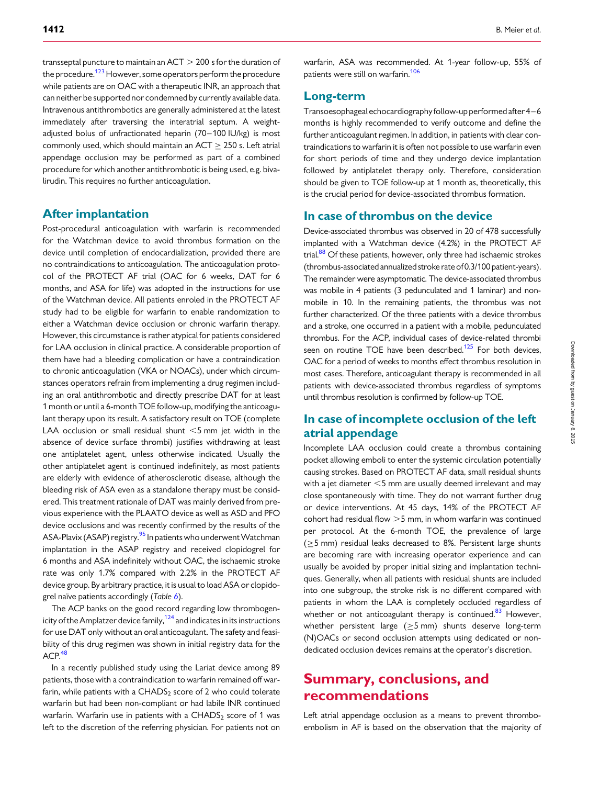transseptal puncture to maintain an  $ACT > 200$  s for the duration of the procedure.<sup>[123](#page-19-0)</sup> However, some operators perform the procedure while patients are on OAC with a therapeutic INR, an approach that can neither be supported nor condemned by currently available data. Intravenous antithrombotics are generally administered at the latest immediately after traversing the interatrial septum. A weightadjusted bolus of unfractionated heparin (70–100 IU/kg) is most commonly used, which should maintain an ACT  $\geq$  250 s. Left atrial appendage occlusion may be performed as part of a combined procedure for which another antithrombotic is being used, e.g. bivalirudin. This requires no further anticoagulation.

## After implantation

Post-procedural anticoagulation with warfarin is recommended for the Watchman device to avoid thrombus formation on the device until completion of endocardialization, provided there are no contraindications to anticoagulation. The anticoagulation protocol of the PROTECT AF trial (OAC for 6 weeks, DAT for 6 months, and ASA for life) was adopted in the instructions for use of the Watchman device. All patients enroled in the PROTECT AF study had to be eligible for warfarin to enable randomization to either a Watchman device occlusion or chronic warfarin therapy. However, this circumstance is rather atypical for patients considered for LAA occlusion in clinical practice. A considerable proportion of them have had a bleeding complication or have a contraindication to chronic anticoagulation (VKA or NOACs), under which circumstances operators refrain from implementing a drug regimen including an oral antithrombotic and directly prescribe DAT for at least 1 month or until a 6-month TOE follow-up, modifying the anticoagulant therapy upon its result. A satisfactory result on TOE (complete LAA occlusion or small residual shunt  $<$ 5 mm jet width in the absence of device surface thrombi) justifies withdrawing at least one antiplatelet agent, unless otherwise indicated. Usually the other antiplatelet agent is continued indefinitely, as most patients are elderly with evidence of atherosclerotic disease, although the bleeding risk of ASA even as a standalone therapy must be considered. This treatment rationale of DAT was mainly derived from previous experience with the PLAATO device as well as ASD and PFO device occlusions and was recently confirmed by the results of the ASA-Plavix (ASAP) registry.<sup>[95](#page-19-0)</sup> In patients who underwent Watchman implantation in the ASAP registry and received clopidogrel for 6 months and ASA indefinitely without OAC, the ischaemic stroke rate was only 1.7% compared with 2.2% in the PROTECT AF device group. By arbitrary practice, it is usual to load ASA or clopidogrel naïve patients accordingly (Table  $6$ ).

The ACP banks on the good record regarding low thrombogenicity of the Amplatzer device family,  $124$  and indicates in its instructions for use DAT only without an oral anticoagulant. The safety and feasibility of this drug regimen was shown in initial registry data for the  $ACP<sup>48</sup>$ 

In a recently published study using the Lariat device among 89 patients, those with a contraindication to warfarin remained off warfarin, while patients with a  $CHADS<sub>2</sub>$  score of 2 who could tolerate warfarin but had been non-compliant or had labile INR continued warfarin. Warfarin use in patients with a  $CHADS<sub>2</sub>$  score of 1 was left to the discretion of the referring physician. For patients not on warfarin, ASA was recommended. At 1-year follow-up, 55% of patients were still on warfarin.<sup>[106](#page-19-0)</sup>

## Long-term

Transoesophageal echocardiography follow-up performed after 4–6 months is highly recommended to verify outcome and define the further anticoagulant regimen. In addition, in patients with clear contraindications to warfarin it is often not possible to use warfarin even for short periods of time and they undergo device implantation followed by antiplatelet therapy only. Therefore, consideration should be given to TOE follow-up at 1 month as, theoretically, this is the crucial period for device-associated thrombus formation.

## In case of thrombus on the device

Device-associated thrombus was observed in 20 of 478 successfully implanted with a Watchman device (4.2%) in the PROTECT AF trial.<sup>88</sup> Of these patients, however, only three had ischaemic strokes (thrombus-associated annualized stroke rate of 0.3/100 patient-years). The remainder were asymptomatic. The device-associated thrombus was mobile in 4 patients (3 pedunculated and 1 laminar) and nonmobile in 10. In the remaining patients, the thrombus was not further characterized. Of the three patients with a device thrombus and a stroke, one occurred in a patient with a mobile, pedunculated thrombus. For the ACP, individual cases of device-related thrombi seen on routine TOE have been described.<sup>125</sup> For both devices, OAC for a period of weeks to months effect thrombus resolution in most cases. Therefore, anticoagulant therapy is recommended in all patients with device-associated thrombus regardless of symptoms until thrombus resolution is confirmed by follow-up TOE.

## In case of incomplete occlusion of the left atrial appendage

Incomplete LAA occlusion could create a thrombus containing pocket allowing emboli to enter the systemic circulation potentially causing strokes. Based on PROTECT AF data, small residual shunts with a jet diameter  $<$  5 mm are usually deemed irrelevant and may close spontaneously with time. They do not warrant further drug or device interventions. At 45 days, 14% of the PROTECT AF cohort had residual flow  $>5$  mm, in whom warfarin was continued per protocol. At the 6-month TOE, the prevalence of large ( $\geq$ 5 mm) residual leaks decreased to 8%. Persistent large shunts are becoming rare with increasing operator experience and can usually be avoided by proper initial sizing and implantation techniques. Generally, when all patients with residual shunts are included into one subgroup, the stroke risk is no different compared with patients in whom the LAA is completely occluded regardless of whether or not anticoagulant therapy is continued. $83$  However, whether persistent large ( $\geq$ 5 mm) shunts deserve long-term (N)OACs or second occlusion attempts using dedicated or nondedicated occlusion devices remains at the operator's discretion.

# Summary, conclusions, and recommendations

Left atrial appendage occlusion as a means to prevent thromboembolism in AF is based on the observation that the majority of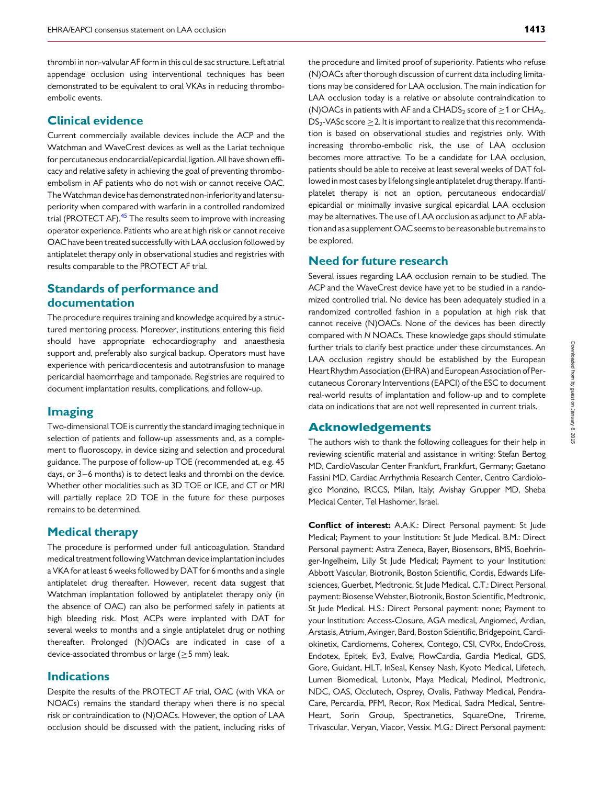thrombi in non-valvular AF form in this cul de sac structure. Left atrial appendage occlusion using interventional techniques has been demonstrated to be equivalent to oral VKAs in reducing thromboembolic events.

## Clinical evidence

Current commercially available devices include the ACP and the Watchman and WaveCrest devices as well as the Lariat technique for percutaneous endocardial/epicardial ligation. All have shown efficacy and relative safety in achieving the goal of preventing thromboembolism in AF patients who do not wish or cannot receive OAC. TheWatchman device has demonstrated non-inferiority and later superiority when compared with warfarin in a controlled randomized trial (PROTECT AF).<sup>[45](#page-17-0)</sup> The results seem to improve with increasing operator experience. Patients who are at high risk or cannot receive OAC have been treated successfully with LAA occlusion followed by antiplatelet therapy only in observational studies and registries with results comparable to the PROTECT AF trial.

## Standards of performance and documentation

The procedure requires training and knowledge acquired by a structured mentoring process. Moreover, institutions entering this field should have appropriate echocardiography and anaesthesia support and, preferably also surgical backup. Operators must have experience with pericardiocentesis and autotransfusion to manage pericardial haemorrhage and tamponade. Registries are required to document implantation results, complications, and follow-up.

## Imaging

Two-dimensional TOE is currently the standard imaging technique in selection of patients and follow-up assessments and, as a complement to fluoroscopy, in device sizing and selection and procedural guidance. The purpose of follow-up TOE (recommended at, e.g. 45 days, or 3–6 months) is to detect leaks and thrombi on the device. Whether other modalities such as 3D TOE or ICE, and CT or MRI will partially replace 2D TOE in the future for these purposes remains to be determined.

#### Medical therapy

The procedure is performed under full anticoagulation. Standard medical treatment followingWatchman device implantation includes a VKA for at least 6 weeks followed by DAT for 6 months and a single antiplatelet drug thereafter. However, recent data suggest that Watchman implantation followed by antiplatelet therapy only (in the absence of OAC) can also be performed safely in patients at high bleeding risk. Most ACPs were implanted with DAT for several weeks to months and a single antiplatelet drug or nothing thereafter. Prolonged (N)OACs are indicated in case of a device-associated thrombus or large (≥5 mm) leak.

## Indications

Despite the results of the PROTECT AF trial, OAC (with VKA or NOACs) remains the standard therapy when there is no special risk or contraindication to (N)OACs. However, the option of LAA occlusion should be discussed with the patient, including risks of the procedure and limited proof of superiority. Patients who refuse (N)OACs after thorough discussion of current data including limitations may be considered for LAA occlusion. The main indication for LAA occlusion today is a relative or absolute contraindication to (N)OACs in patients with AF and a CHADS<sub>2</sub> score of  $>1$  or CHA<sub>2-</sub> DS<sub>2</sub>-VASc score  $\geq$  2. It is important to realize that this recommendation is based on observational studies and registries only. With increasing thrombo-embolic risk, the use of LAA occlusion becomes more attractive. To be a candidate for LAA occlusion, patients should be able to receive at least several weeks of DAT followed in most cases by lifelong single antiplatelet drug therapy. If antiplatelet therapy is not an option, percutaneous endocardial/ epicardial or minimally invasive surgical epicardial LAA occlusion may be alternatives. The use of LAA occlusion as adjunct to AF ablation and as a supplement OAC seems to be reasonable but remains to be explored.

## Need for future research

Several issues regarding LAA occlusion remain to be studied. The ACP and the WaveCrest device have yet to be studied in a randomized controlled trial. No device has been adequately studied in a randomized controlled fashion in a population at high risk that cannot receive (N)OACs. None of the devices has been directly compared with N NOACs. These knowledge gaps should stimulate further trials to clarify best practice under these circumstances. An LAA occlusion registry should be established by the European Heart Rhythm Association (EHRA) and European Association of Percutaneous Coronary Interventions (EAPCI) of the ESC to document real-world results of implantation and follow-up and to complete data on indications that are not well represented in current trials.

## Acknowledgements

The authors wish to thank the following colleagues for their help in reviewing scientific material and assistance in writing: Stefan Bertog MD, CardioVascular Center Frankfurt, Frankfurt, Germany; Gaetano Fassini MD, Cardiac Arrhythmia Research Center, Centro Cardiologico Monzino, IRCCS, Milan, Italy; Avishay Grupper MD, Sheba Medical Center, Tel Hashomer, Israel.

Conflict of interest: A.A.K.: Direct Personal payment: St Jude Medical; Payment to your Institution: St Jude Medical. B.M.: Direct Personal payment: Astra Zeneca, Bayer, Biosensors, BMS, Boehringer-Ingelheim, Lilly St Jude Medical; Payment to your Institution: Abbott Vascular, Biotronik, Boston Scientific, Cordis, Edwards Lifesciences, Guerbet, Medtronic, St Jude Medical. C.T.: Direct Personal payment: BiosenseWebster, Biotronik, Boston Scientific, Medtronic, St Jude Medical. H.S.: Direct Personal payment: none; Payment to your Institution: Access-Closure, AGA medical, Angiomed, Ardian, Arstasis, Atrium, Avinger, Bard, Boston Scientific, Bridgepoint, Cardiokinetix, Cardiomems, Coherex, Contego, CSI, CVRx, EndoCross, Endotex, Epitek, Ev3, Evalve, FlowCardia, Gardia Medical, GDS, Gore, Guidant, HLT, InSeal, Kensey Nash, Kyoto Medical, Lifetech, Lumen Biomedical, Lutonix, Maya Medical, Medinol, Medtronic, NDC, OAS, Occlutech, Osprey, Ovalis, Pathway Medical, Pendra-Care, Percardia, PFM, Recor, Rox Medical, Sadra Medical, Sentre-Heart, Sorin Group, Spectranetics, SquareOne, Trireme, Trivascular, Veryan, Viacor, Vessix. M.G.: Direct Personal payment: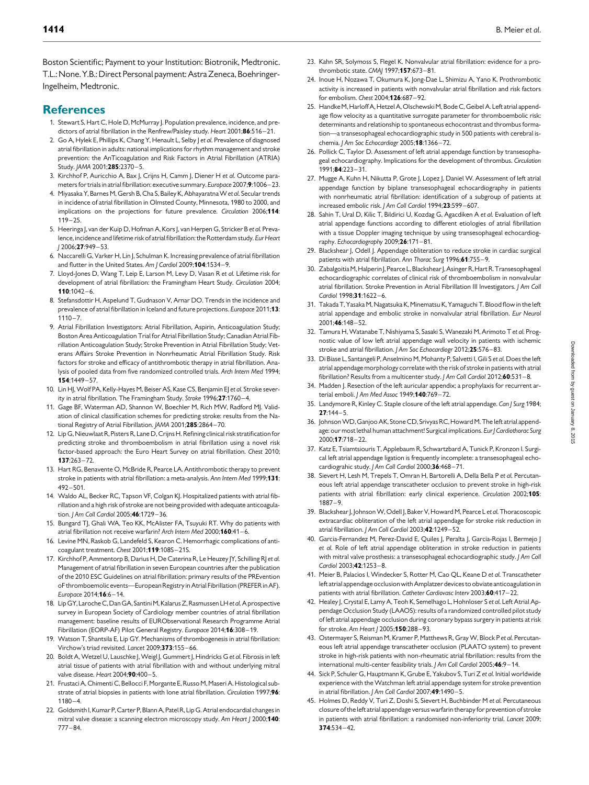<span id="page-17-0"></span>Boston Scientific; Payment to your Institution: Biotronik, Medtronic. T.L.: None. Y.B.: Direct Personal payment: Astra Zeneca, Boehringer-Ingelheim, Medtronic.

## **References**

- 1. Stewart S, Hart C, Hole D, McMurray J. Population prevalence, incidence, and predictors of atrial fibrillation in the Renfrew/Paisley study. Heart 2001:86:516-21.
- 2. Go A, Hylek E, Phillips K, Chang Y, Henault L, Selby J et al. Prevalence of diagnosed atrial fibrillation in adults: national implications for rhythm management and stroke prevention: the AnTicoagulation and Risk Factors in Atrial Fibrillation (ATRIA) Study. IAMA 2001:285:2370-5.
- 3. Kirchhof P, Auricchio A, Bax I, Criins H, Camm I, Diener H et al. Outcome parameters for trials in atrial fibrillation: executive summary. Europace 2007;9:1006-23.
- 4. Miyasaka Y, Barnes M, Gersh B, Cha S, Bailey K, Abhayaratna W et al. Secular trends in incidence of atrial fibrillation in Olmsted County, Minnesota, 1980 to 2000, and implications on the projections for future prevalence. Circulation 2006;114:  $119 - 25$
- 5. Heeringa J, van der Kuip D, Hofman A, Kors J, van Herpen G, Stricker B et al. Prevalence, incidence and lifetime risk of atrial fibrillation: the Rotterdam study. Eur Heart J 2006;27:949 –53.
- 6. Naccarelli G, Varker H, Lin J, Schulman K. Increasing prevalence of atrial fibrillation and flutter in the United States. Am J Cardiol 2009;104:1534-9.
- 7. Lloyd-Jones D, Wang T, Leip E, Larson M, Levy D, Vasan R et al. Lifetime risk for development of atrial fibrillation: the Framingham Heart Study. Circulation 2004;  $110:1042 - 6.$
- 8. Stefansdottir H, Aspelund T, Gudnason V, Arnar DO. Trends in the incidence and prevalence of atrial fibrillation in Iceland and future projections. Europace 2011;13:  $1110 - 7$
- 9. Atrial Fibrillation Investigators: Atrial Fibrillation, Aspirin, Anticoagulation Study; Boston Area Anticoagulation Trial for Atrial Fibrillation Study; Canadian Atrial Fibrillation Anticoagulation Study; Stroke Prevention in Atrial Fibrillation Study; Veterans Affairs Stroke Prevention in Nonrheumatic Atrial Fibrillation Study. Risk factors for stroke and efficacy of antithrombotic therapy in atrial fibrillation. Analysis of pooled data from five randomized controlled trials. Arch Intern Med 1994; 154:1449 – 57.
- 10. Lin HJ, Wolf PA, Kelly-Hayes M, Beiser AS, Kase CS, Benjamin EJ et al. Stroke severity in atrial fibrillation. The Framingham Study. Stroke 1996;27:1760-4.
- 11. Gage BF, Waterman AD, Shannon W, Boechler M, Rich MW, Radford MJ. Validation of clinical classification schemes for predicting stroke: results from the National Registry of Atrial Fibrillation. JAMA 2001;285:2864 –70.
- 12. Lip G, Nieuwlaat R, Pisters R, Lane D, Crijns H. Refining clinical risk stratification for predicting stroke and thromboembolism in atrial fibrillation using a novel risk factor-based approach: the Euro Heart Survey on atrial fibrillation. Chest 2010;  $137:263 - 72$
- 13. Hart RG, Benavente O, McBride R, Pearce LA. Antithrombotic therapy to prevent stroke in patients with atrial fibrillation: a meta-analysis. Ann Intern Med 1999;131:  $492 - 501$
- Waldo AL, Becker RC, Tapson VF, Colgan KJ. Hospitalized patients with atrial fibrillation and a high risk of stroke are not being provided with adequate anticoagulation. J Am Coll Cardiol 2005;46:1729-36.
- 15. Bungard TJ, Ghali WA, Teo KK, McAlister FA, Tsuyuki RT. Why do patients with atrial fibrillation not receive warfarin? Arch Intern Med 2000:160:41-6.
- 16. Levine MN, Raskob G, Landefeld S, Kearon C. Hemorrhagic complications of anticoagulant treatment. Chest 2001;119:108S-21S.
- 17. Kirchhof P, Ammentorp B, Darius H, De Caterina R, Le Heuzey JY, Schilling RJ et al. Management of atrial fibrillation in seven European countries after the publication of the 2010 ESC Guidelines on atrial fibrillation: primary results of the PREvention oF thromboemolic events—European Registry in Atrial Fibrillation (PREFER in AF). Europace 2014:16:6-14.
- 18. Lip GY, Laroche C, Dan GA, Santini M, Kalarus Z, Rasmussen LH et al. A prospective survey in European Society of Cardiology member countries of atrial fibrillation management: baseline results of EURObservational Research Programme Atrial Fibrillation (EORP-AF) Pilot General Registry. Europace 2014;16:308–19.
- 19. Watson T, Shantsila E, Lip GY. Mechanisms of thrombogenesis in atrial fibrillation: Virchow's triad revisited. Lancet 2009;373:155–66.
- 20. Boldt A, Wetzel U, Lauschke J, Weigl J, Gummert J, Hindricks G et al. Fibrosis in left atrial tissue of patients with atrial fibrillation with and without underlying mitral valve disease. Heart 2004;90:400-5.
- 21. Frustaci A, Chimenti C, Bellocci F, Morgante E, Russo M, Maseri A. Histological substrate of atrial biopsies in patients with lone atrial fibrillation. Circulation 1997;96:  $1180 - 4$
- 22. Goldsmith I, Kumar P,Carter P, Blann A, Patel R, Lip G. Atrial endocardial changes in mitral valve disease: a scanning electron microscopy study. Am Heart J 2000;140: 777 –84.
- 23. Kahn SR, Solymoss S, Flegel K. Nonvalvular atrial fibrillation: evidence for a prothrombotic state. CMAJ 1997;157:673 –81.
- 24. Inoue H, Nozawa T, Okumura K, Jong-Dae L, Shimizu A, Yano K. Prothrombotic activity is increased in patients with nonvalvular atrial fibrillation and risk factors for embolism. Chest 2004;126:687 – 92.
- 25. Handke M, Harloff A, Hetzel A, Olschewski M, Bode C, Geibel A. Left atrial appendage flow velocity as a quantitative surrogate parameter for thromboembolic risk: determinants and relationship to spontaneous echocontrast and thrombus formation—a transesophageal echocardiographic study in 500 patients with cerebral ischemia. J Am Soc Echocardiogr 2005;18:1366-72.
- 26. Pollick C, Taylor D. Assessment of left atrial appendage function by transesophageal echocardiography. Implications for the development of thrombus. Circulation 1991;84:223 –31.
- 27. Mugge A, Kuhn H, Nikutta P, Grote J, Lopez J, Daniel W. Assessment of left atrial appendage function by biplane transesophageal echocardiography in patients with nonrheumatic atrial fibrillation: identification of a subgroup of patients at increased embolic risk. J Am Coll Cardiol 1994;23:599-607.
- 28. Sahin T, Ural D, Kilic T, Bildirici U, Kozdag G, Agacdiken A et al. Evaluation of left atrial appendage functions according to different etiologies of atrial fibrillation with a tissue Doppler imaging technique by using transesophageal echocardiography. Echocardiography 2009;26:171-81.
- 29. Blackshear J, Odell J. Appendage obliteration to reduce stroke in cardiac surgical patients with atrial fibrillation. Ann Thorac Surg 1996;61:755 –9.
- 30. Zabalgoitia M, Halperin J, Pearce L, Blackshear J, Asinger R, Hart R. Transesophageal echocardiographic correlates of clinical risk of thromboembolism in nonvalvular atrial fibrillation. Stroke Prevention in Atrial Fibrillation III Investigators. J Am Coll Cardiol 1998:31:1622-6.
- 31. Takada T, Yasaka M, Nagatsuka K, Minematsu K, Yamaguchi T. Blood flow in the left atrial appendage and embolic stroke in nonvalvular atrial fibrillation. Eur Neurol 2001;46:148 –52.
- 32. Tamura H, Watanabe T, Nishiyama S, Sasaki S, Wanezaki M, Arimoto T et al. Prognostic value of low left atrial appendage wall velocity in patients with ischemic stroke and atrial fibrillation. J Am Soc Echocardiogr 2012;25:576-83.
- 33. Di Biase L, Santangeli P, Anselmino M, Mohanty P, Salvetti I, Gili S et al. Does the left atrial appendage morphology correlate with the risk of stroke in patients with atrial fibrillation? Results from a multicenter study. J Am Coll Cardiol 2012;60:531-8.
- 34. Madden J. Resection of the left auricular appendix; a prophylaxis for recurrent arterial emboli. J Am Med Assoc 1949;140:769-72.
- 35. Landymore R, Kinley C. Staple closure of the left atrial appendage. Can J Surg 1984;  $27:144 - 5.$
- 36. JohnsonWD, Ganjoo AK, Stone CD, Srivyas RC, Howard M. The left atrial appendage: our most lethal human attachment! Surgical implications. Eur J Cardiothorac Surg 2000;17:718 –22.
- 37. Katz E, Tsiamtsiouris T, Applebaum R, Schwartzbard A, Tunick P, Kronzon I. Surgical left atrial appendage ligation is frequently incomplete: a transesophageal echocardiograhic study. J Am Coll Cardiol 2000;36:468-71.
- 38. Sievert H, Lesh M, Trepels T, Omran H, Bartorelli A, Della Bella P et al. Percutaneous left atrial appendage transcatheter occlusion to prevent stroke in high-risk patients with atrial fibrillation: early clinical experience. Circulation 2002;105: 1887 –9.
- 39. Blackshear J, Johnson W, Odell J, Baker V, Howard M, Pearce L et al. Thoracoscopic extracardiac obliteration of the left atrial appendage for stroke risk reduction in atrial fibrillation. J Am Coll Cardiol 2003;42:1249 –52.
- 40. Garcia-Fernandez M, Perez-David E, Quiles J, Peralta J, Garcia-Rojas I, Bermejo J et al. Role of left atrial appendage obliteration in stroke reduction in patients with mitral valve prosthesis: a transesophageal echocardiographic study. J Am Coll Cardiol 2003;42:1253 –8.
- 41. Meier B, Palacios I, Windecker S, Rotter M, Cao QL, Keane D et al. Transcatheter left atrial appendage occlusion with Amplatzer devices to obviate anticoagulation in patients with atrial fibrillation. Catheter Cardiovasc Interv 2003;60:417-22.
- 42. Healey J, Crystal E, Lamy A, Teoh K, Semelhago L, Hohnloser S et al. Left Atrial Appendage Occlusion Study (LAAOS): results of a randomized controlled pilot study of left atrial appendage occlusion during coronary bypass surgery in patients at risk for stroke. Am Heart J 2005;150:288-93.
- 43. Ostermayer S, Reisman M, Kramer P, Matthews R, Gray W, Block P et al. Percutaneous left atrial appendage transcatheter occlusion (PLAATO system) to prevent stroke in high-risk patients with non-rheumatic atrial fibrillation: results from the international multi-center feasibility trials. J Am Coll Cardiol 2005;46:9-14.
- 44. Sick P, Schuler G, Hauptmann K, Grube E, Yakubov S, Turi Z et al. Initial worldwide experience with the Watchman left atrial appendage system for stroke prevention in atrial fibrillation. J Am Coll Cardiol 2007;49:1490-5.
- 45. Holmes D, Reddy V, Turi Z, Doshi S, Sievert H, Buchbinder M et al. Percutaneous closure of the left atrial appendage versus warfarin therapy for prevention of stroke in patients with atrial fibrillation: a randomised non-inferiority trial. Lancet 2009; 374:534 –42.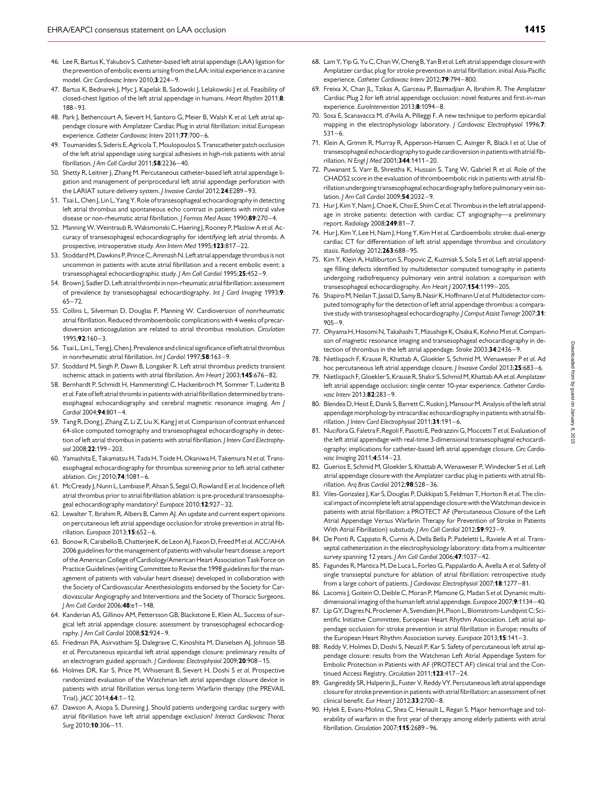- <span id="page-18-0"></span>46. Lee R, Bartus K, Yakubov S. Catheter-based left atrial appendage (LAA) ligation for the prevention of embolic events arising from the LAA: initial experience in a canine model. Circ Cardiovasc Interv 2010;3:224-9.
- 47. Bartus K, Bednarek I, Myc J, Kapelak B, Sadowski J, Lelakowski J et al. Feasibility of closed-chest ligation of the left atrial appendage in humans. Heart Rhythm 2011;8: 188– 93.
- 48. Park J, Bethencourt A, Sievert H, Santoro G, Meier B, Walsh K et al. Left atrial appendage closure with Amplatzer Cardiac Plug in atrial fibrillation: initial European experience. Catheter Cardiovasc Interv 2011;77:700-6.
- 49. Toumanides S, Sideris E, Agricola T, Moulopoulos S. Transcatheter patch occlusion of the left atrial appendage using surgical adhesives in high-risk patients with atrial fibrillation. J Am Coll Cardiol 2011;58:2236-40.
- 50. Shetty R, Leitner J, Zhang M. Percutaneous catheter-based left atrial appendage ligation and management of periprocedural left atrial appendage perforation with the LARIAT suture delivery system. | Invasive Cardiol 2012;24:E289-93.
- 51. Tsai L, Chen J, Lin L, Yang Y. Role of transesophageal echocardiography in detecting left atrial thrombus and spontaneous echo contrast in patients with mitral valve disease or non-rheumatic atrial fibrillation. J Formos Med Assoc 1990;89:270-4.
- 52. Manning W, Weintraub R, Waksmonski C, Haering J, Rooney P, Maslow A et al. Accuracy of transesophageal echocardiography for identifying left atrial thrombi. A prospective, intraoperative study. Ann Intern Med 1995;123:817-22.
- 53. Stoddard M, Dawkins P, PrinceC, Ammash N. Left atrial appendage thrombus is not uncommon in patients with acute atrial fibrillation and a recent embolic event: a transesophageal echocardiographic study. J Am Coll Cardiol 1995;25:452-9.
- 54. Brown J, Sadler D. Left atrial thrombi in non-rheumatic atrial fibrillation: assessment of prevalence by transesophageal echocardiography. Int J Card Imaging 1993;9:  $65 - 72$
- 55. Collins L, Silverman D, Douglas P, Manning W. Cardioversion of nonrheumatic atrial fibrillation. Reduced thromboembolic complications with 4 weeks of precardioversion anticoagulation are related to atrial thrombus resolution. Circulation 1995;92:160–3.
- 56. Tsai L, Lin L, Teng J, Chen J. Prevalence and clinical significance of left atrial thrombus in nonrheumatic atrial fibrillation. Int J Cardiol 1997;58:163-9.
- 57. Stoddard M, Singh P, Dawn B, Longaker R. Left atrial thrombus predicts transient ischemic attack in patients with atrial fibrillation. Am Heart J 2003;145:676-82.
- 58. Bernhardt P, Schmidt H, Hammerstingl C, Hackenbroch M, Sommer T, Luderitz B et al. Fate of left atrial thrombi in patients with atrial fibrillation determined by transesophageal echocardiography and cerebral magnetic resonance imaging. Am J Cardiol 2004;94:801 –4.
- 59. Tang R, Dong J, Zhang Z, Li Z, Liu X, Kang J et al. Comparison of contrast enhanced 64-slice computed tomography and transesophageal echocardiography in detection of left atrial thrombus in patients with atrial fibrillation. J Interv Card Electrophysiol 2008;22:199–203.
- 60. Yamashita E, Takamatsu H, Tada H, Toide H, Okaniwa H, Takemura N et al. Transesophageal echocardiography for thrombus screening prior to left atrial catheter ablation. Circ J 2010:74:1081-6.
- 61. McCready J, Nunn L, Lambiase P, Ahsan S, Segal O, Rowland E et al. Incidence of left atrial thrombus prior to atrial fibrillation ablation: is pre-procedural transoesophageal echocardiography mandatory? Europace 2010;12:927-32.
- 62. Lewalter T, Ibrahim R, Albers B, Camm AJ. An update and current expert opinions on percutaneous left atrial appendage occlusion for stroke prevention in atrial fibrillation. Europace 2013;15:652 –6.
- 63. Bonow R, Carabello B, Chatterjee K, de Leon AJ, Faxon D, Freed M et al. ACC/AHA 2006 guidelines for the management of patients with valvular heart disease: a report of the American College of Cardiology/American Heart Association Task Force on Practice Guidelines (writing Committee to Revise the 1998 guidelines for the management of patients with valvular heart disease) developed in collaboration with the Society of Cardiovascular Anesthesiologists endorsed by the Society for Cardiovascular Angiography and Interventions and the Society of Thoracic Surgeons. J Am Coll Cardiol 2006;48:e1 –148.
- 64. Kanderian AS, Gillinov AM, Pettersson GB, Blackstone E, Klein AL. Success of surgical left atrial appendage closure: assessment by transesophageal echocardiography. J Am Coll Cardiol 2008;52:924-9.
- 65. Friedman PA, Asirvatham SJ, Dalegrave C, Kinoshita M, Danielsen AJ, Johnson SB et al. Percutaneous epicardial left atrial appendage closure: preliminary results of an electrogram guided approach. J Cardiovasc Electrophysiol 2009;20:908-15.
- 66. Holmes DR, Kar S, Price M, Whisenant B, Sievert H, Doshi S et al. Prospective randomized evaluation of the Watchman left atrial appendage closure device in patients with atrial fibrillation versus long-term Warfarin therapy (the PREVAIL Trial). JACC 2014;64:1-12.
- 67. Dawson A, Asopa S, Dunning J. Should patients undergoing cardiac surgery with atrial fibrillation have left atrial appendage exclusion? Interact Cardiovasc Thorac Surg 2010;10:306–11.
- 68. Lam Y, Yip G, Yu C, Chan W, Cheng B, Yan B et al. Left atrial appendage closure with Amplatzer cardiac plug for stroke prevention in atrial fibrillation: initial Asia-Pacific experience. Catheter Cardiovasc Interv 2012;79:794-800.
- 69. Freixa X, Chan JL, Tzikas A, Garceau P, Basmadjian A, Ibrahim R. The Amplatzer Cardiac Plug 2 for left atrial appendage occlusion: novel features and first-in-man experience. EuroIntervention 2013;8:1094-8.
- 70. Sosa E, Scanavacca M, d'Avila A, Pilleggi F. A new technique to perform epicardial mapping in the electrophysiology laboratory. *| Cardiovasc Electrophysiol* 1996;7:  $531 - 6.$
- 71. Klein A, Grimm R, Murray R, Apperson-Hansen C, Asinger R, Black I et al. Use of transesophageal echocardiography to guide cardioversion in patients with atrial fibrillation. N Engl | Med 2001;344:1411-20.
- 72. Puwanant S, Varr B, Shrestha K, Hussain S, Tang W, Gabriel R et al. Role of the CHADS2 score in the evaluation of thromboembolic risk in patients with atrial fibrillation undergoing transesophageal echocardiography before pulmonary vein isolation. *I Am Coll Cardiol* 2009:54:2032-9.
- 73. Hur J, Kim Y, Nam J, Choe K, Choi E, Shim C et al. Thrombus in the left atrial appendage in stroke patients: detection with cardiac CT angiography—a preliminary report. Radiology 2008;249:81 –7.
- 74. Hur J, Kim Y, Lee H, Nam J, Hong Y, Kim H et al. Cardioembolic stroke: dual-energy cardiac CT for differentiation of left atrial appendage thrombus and circulatory stasis. Radiology 2012;263:688-95.
- 75. Kim Y, Klein A, Halliburton S, Popovic Z, Kuzmiak S, Sola S et al. Left atrial appendage filling defects identified by multidetector computed tomography in patients undergoing radiofrequency pulmonary vein antral isolation: a comparison with transesophageal echocardiography. Am Heart J 2007;154:1199-205.
- 76. Shapiro M, Neilan T, Jassal D, Samy B, Nasir K, Hoffmann U et al. Multidetector computed tomography for the detection of left atrial appendage thrombus: a comparative study with transesophageal echocardiography. J Comput Assist Tomogr 2007;31:  $905 - 9$
- 77. Ohyama H, Hosomi N, Takahashi T, Mizushige K, Osaka K, Kohno Met al. Comparison of magnetic resonance imaging and transesophageal echocardiography in detection of thrombus in the left atrial appendage. Stroke 2003;34:2436-9.
- 78. Nietlispach F, Krause R, Khattab A, Gloekler S, Schmid M, Wenaweser P et al. Ad hoc percutaneous left atrial appendage closure. J Invasive Cardiol 2013;25:683-6.
- 79. Nietlispach F, Gloekler S, Krause R, Shakir S, Schmid M, Khattab AA et al. Amplatzer left atrial appendage occlusion: single center 10-year experience. Catheter Cardiovasc Interv 2013:82:283-9.
- 80. Blendea D, Heist E, Danik S, Barrett C, Ruskin I, Mansour M, Analysis of the left atrial appendage morphology by intracardiac echocardiography in patients with atrial fibrillation. J Interv Card Electrophysiol 2011;31:191–6.
- 81. Nucifora G, Faletra F, Regoli F, Pasotti E, Pedrazzini G, Moccetti T et al. Evaluation of the left atrial appendage with real-time 3-dimensional transesophageal echocardiography: implications for catheter-based left atrial appendage closure. Circ Cardiovasc Imaging 2011;4:514-23.
- 82. Guerios E, Schmid M, Gloekler S, Khattab A, Wenaweser P, Windecker S et al. Left atrial appendage closure with the Amplatzer cardiac plug in patients with atrial fibrillation. Arg Bras Cardiol 2012:98:528-36.
- 83. Viles-Gonzalez J, Kar S, Douglas P, Dukkipati S, Feldman T, Horton R et al. The clinical impact of incomplete left atrial appendage closure with theWatchman device in patients with atrial fibrillation: a PROTECT AF (Percutaneous Closure of the Left Atrial Appendage Versus Warfarin Therapy for Prevention of Stroke in Patients With Atrial Fibrillation) substudy. J Am Coll Cardiol 2012;59:923-9.
- 84. De Ponti R, Cappato R, Curnis A, Della Bella P, Padeletti L, Raviele A et al. Transseptal catheterization in the electrophysiology laboratory: data from a multicenter survey spanning 12 years. J Am Coll Cardiol 2006;47:1037-42.
- 85. Fagundes R, Mantica M, De Luca L, Forleo G, Pappalardo A, Avella A et al. Safety of single transseptal puncture for ablation of atrial fibrillation: retrospective study from a large cohort of patients. *J Cardiovasc Electrobhysiol* 2007:18:1277-81.
- 86. Lacomis J, Goitein O, Deible C, Moran P, Mamone G, Madan S et al. Dynamic multidimensional imaging of the human left atrial appendage. Europace 2007;9:1134-40.
- 87. Lip GY, Dagres N, Proclemer A, Svendsen JH, Pison L, Blomstrom-Lundqvist C; Scientific Initiative Committee, European Heart Rhythm Association. Left atrial appendage occlusion for stroke prevention in atrial fibrillation in Europe: results of the European Heart Rhythm Association survey. Europace 2013;15:141-3.
- 88. Reddy V, Holmes D, Doshi S, Neuzil P, Kar S. Safety of percutaneous left atrial appendage closure: results from the Watchman Left Atrial Appendage System for Embolic Protection in Patients with AF (PROTECT AF) clinical trial and the Continued Access Registry. Circulation 2011;123:417-24.
- 89. Gangireddy SR, Halperin JL, Fuster V, Reddy VY. Percutaneous left atrial appendage closure for stroke prevention in patients with atrial fibrillation: an assessment of net clinical benefit. Eur Heart J 2012;33:2700-8.
- 90. Hylek E, Evans-Molina C, Shea C, Henault L, Regan S. Major hemorrhage and tolerability of warfarin in the first year of therapy among elderly patients with atrial fibrillation. Circulation 2007;115:2689 – 96.